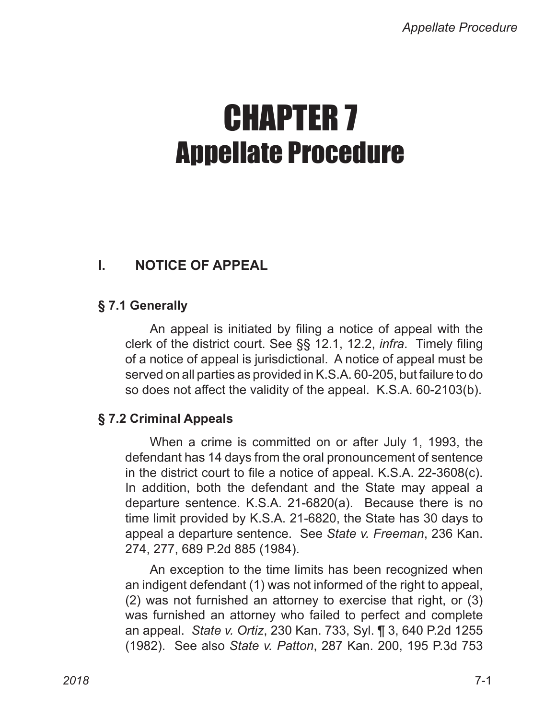# CHAPTER 7 Appellate Procedure

# **I. NOTICE OF APPEAL**

# **§ 7.1 Generally**

An appeal is initiated by filing a notice of appeal with the clerk of the district court. See §§ 12.1, 12.2, *infra*. Timely filing of a notice of appeal is jurisdictional. A notice of appeal must be served on all parties as provided in K.S.A. 60‑205, but failure to do so does not affect the validity of the appeal. K.S.A. 60‑2103(b).

# **§ 7.2 Criminal Appeals**

When a crime is committed on or after July 1, 1993, the defendant has 14 days from the oral pronouncement of sentence in the district court to file a notice of appeal. K.S.A. 22‑3608(c). In addition, both the defendant and the State may appeal a departure sentence. K.S.A. 21‑6820(a). Because there is no time limit provided by K.S.A. 21-6820, the State has 30 days to appeal a departure sentence. See *State v. Freeman*, 236 Kan. 274, 277, 689 P.2d 885 (1984).

An exception to the time limits has been recognized when an indigent defendant (1) was not informed of the right to appeal, (2) was not furnished an attorney to exercise that right, or (3) was furnished an attorney who failed to perfect and complete an appeal. *State v. Ortiz*, 230 Kan. 733, Syl. ¶ 3, 640 P.2d 1255 (1982). See also *State v. Patton*, 287 Kan. 200, 195 P.3d 753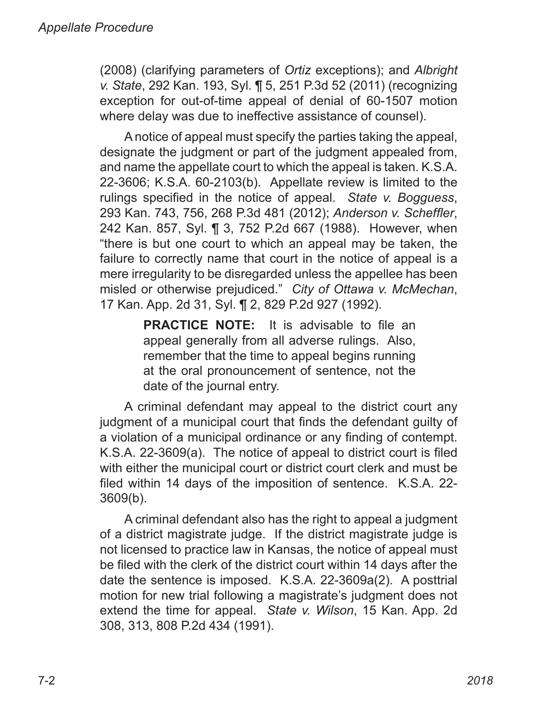(2008) (clarifying parameters of *Ortiz* exceptions); and *Albright v. State*, 292 Kan. 193, Syl. ¶ 5, 251 P.3d 52 (2011) (recognizing exception for out-of-time appeal of denial of 60-1507 motion where delay was due to ineffective assistance of counsel).

A notice of appeal must specify the parties taking the appeal, designate the judgment or part of the judgment appealed from, and name the appellate court to which the appeal is taken. K.S.A. 22‑3606; K.S.A. 60‑2103(b). Appellate review is limited to the rulings specified in the notice of appeal. *State v. Bogguess*, 293 Kan. 743, 756, 268 P.3d 481 (2012); *Anderson v. Scheffler*, 242 Kan. 857, Syl. ¶ 3, 752 P.2d 667 (1988). However, when "there is but one court to which an appeal may be taken, the failure to correctly name that court in the notice of appeal is a mere irregularity to be disregarded unless the appellee has been misled or otherwise prejudiced." *City of Ottawa v. McMechan*, 17 Kan. App. 2d 31, Syl. ¶ 2, 829 P.2d 927 (1992).

> **PRACTICE NOTE:** It is advisable to file an appeal generally from all adverse rulings. Also, remember that the time to appeal begins running at the oral pronouncement of sentence, not the date of the journal entry.

A criminal defendant may appeal to the district court any judgment of a municipal court that finds the defendant guilty of a violation of a municipal ordinance or any finding of contempt. K.S.A. 22-3609(a). The notice of appeal to district court is filed with either the municipal court or district court clerk and must be filed within 14 days of the imposition of sentence. K.S.A. 22-3609(b).

A criminal defendant also has the right to appeal a judgment of a district magistrate judge. If the district magistrate judge is not licensed to practice law in Kansas, the notice of appeal must be filed with the clerk of the district court within 14 days after the date the sentence is imposed. K.S.A. 22‑3609a(2). A posttrial motion for new trial following a magistrate's judgment does not extend the time for appeal. *State v. Wilson*, 15 Kan. App. 2d 308, 313, 808 P.2d 434 (1991).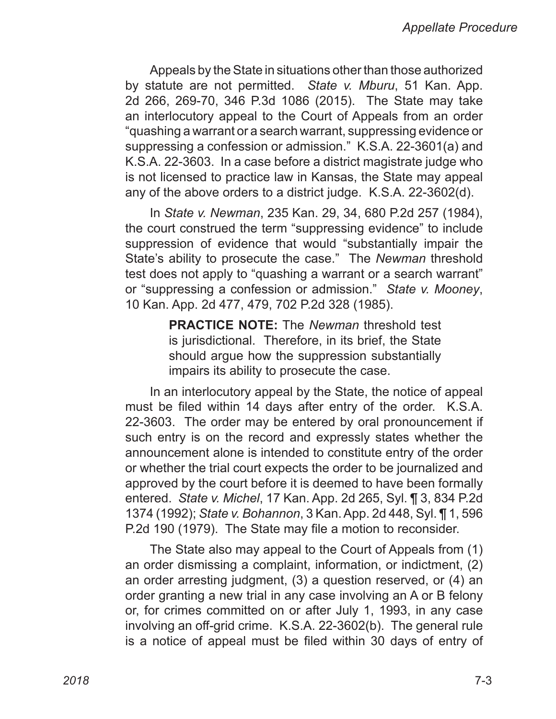Appeals by the State in situations other than those authorized by statute are not permitted. *State v. Mburu*, 51 Kan. App. 2d 266, 269-70, 346 P.3d 1086 (2015). The State may take an interlocutory appeal to the Court of Appeals from an order "quashing a warrant or a search warrant, suppressing evidence or suppressing a confession or admission." K.S.A. 22‑3601(a) and K.S.A. 22‑3603. In a case before a district magistrate judge who is not licensed to practice law in Kansas, the State may appeal any of the above orders to a district judge. K.S.A. 22‑3602(d).

In *State v. Newman*, 235 Kan. 29, 34, 680 P.2d 257 (1984), the court construed the term "suppressing evidence" to include suppression of evidence that would "substantially impair the State's ability to prosecute the case." The *Newman* threshold test does not apply to "quashing a warrant or a search warrant" or "suppressing a confession or admission." *State v. Mooney*, 10 Kan. App. 2d 477, 479, 702 P.2d 328 (1985).

> **PRACTICE NOTE:** The *Newman* threshold test is jurisdictional. Therefore, in its brief, the State should argue how the suppression substantially impairs its ability to prosecute the case.

In an interlocutory appeal by the State, the notice of appeal must be filed within 14 days after entry of the order. K.S.A. 22‑3603. The order may be entered by oral pronouncement if such entry is on the record and expressly states whether the announcement alone is intended to constitute entry of the order or whether the trial court expects the order to be journalized and approved by the court before it is deemed to have been formally entered. *State v. Michel*, 17 Kan. App. 2d 265, Syl. ¶ 3, 834 P.2d 1374 (1992); *State v. Bohannon*, 3 Kan. App. 2d 448, Syl. ¶ 1, 596 P.2d 190 (1979). The State may file a motion to reconsider.

The State also may appeal to the Court of Appeals from (1) an order dismissing a complaint, information, or indictment, (2) an order arresting judgment, (3) a question reserved, or (4) an order granting a new trial in any case involving an A or B felony or, for crimes committed on or after July 1, 1993, in any case involving an off-grid crime. K.S.A. 22-3602(b). The general rule is a notice of appeal must be filed within 30 days of entry of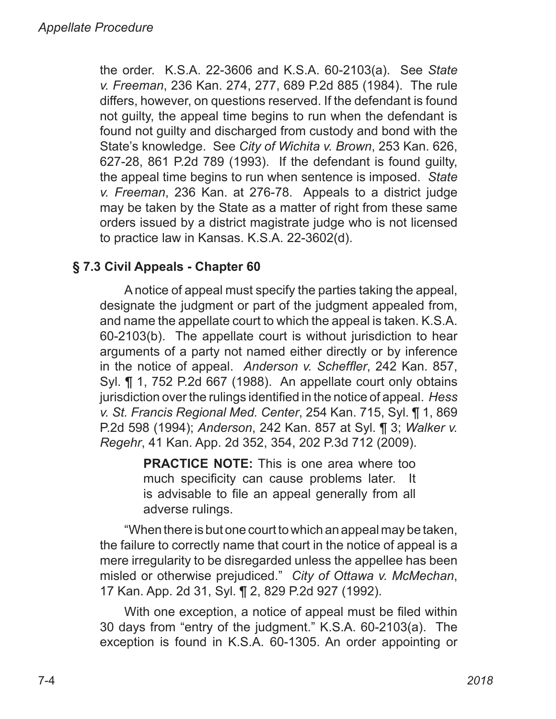the order. K.S.A. 22‑3606 and K.S.A. 60‑2103(a). See *State v. Freeman*, 236 Kan. 274, 277, 689 P.2d 885 (1984). The rule differs, however, on questions reserved. If the defendant is found not guilty, the appeal time begins to run when the defendant is found not guilty and discharged from custody and bond with the State's knowledge. See *City of Wichita v. Brown*, 253 Kan. 626, 627‑28, 861 P.2d 789 (1993). If the defendant is found guilty, the appeal time begins to run when sentence is imposed. *State v. Freeman*, 236 Kan. at 276‑78. Appeals to a district judge may be taken by the State as a matter of right from these same orders issued by a district magistrate judge who is not licensed to practice law in Kansas. K.S.A. 22‑3602(d).

# **§ 7.3 Civil Appeals - Chapter 60**

A notice of appeal must specify the parties taking the appeal, designate the judgment or part of the judgment appealed from, and name the appellate court to which the appeal is taken. K.S.A. 60‑2103(b). The appellate court is without jurisdiction to hear arguments of a party not named either directly or by inference in the notice of appeal. *Anderson v. Scheffler*, 242 Kan. 857, Syl. ¶ 1, 752 P.2d 667 (1988). An appellate court only obtains jurisdiction over the rulings identified in the notice of appeal. *Hess v. St. Francis Regional Med. Center*, 254 Kan. 715, Syl. ¶ 1, 869 P.2d 598 (1994); *Anderson*, 242 Kan. 857 at Syl. ¶ 3; *Walker v. Regehr*, 41 Kan. App. 2d 352, 354, 202 P.3d 712 (2009).

> **PRACTICE NOTE:** This is one area where too much specificity can cause problems later. It is advisable to file an appeal generally from all adverse rulings.

"When there is but one court to which an appeal may be taken, the failure to correctly name that court in the notice of appeal is a mere irregularity to be disregarded unless the appellee has been misled or otherwise prejudiced." *City of Ottawa v. McMechan*, 17 Kan. App. 2d 31, Syl. ¶ 2, 829 P.2d 927 (1992).

With one exception, a notice of appeal must be filed within 30 days from "entry of the judgment." K.S.A. 60‑2103(a). The exception is found in K.S.A. 60-1305. An order appointing or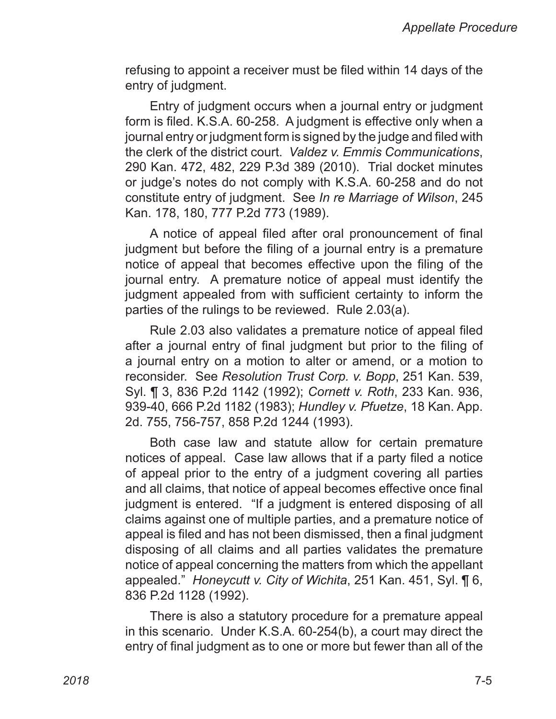refusing to appoint a receiver must be filed within 14 days of the entry of judgment.

Entry of judgment occurs when a journal entry or judgment form is filed. K.S.A. 60-258. A judgment is effective only when a journal entry or judgment form is signed by the judge and filed with the clerk of the district court. *Valdez v. Emmis Communications*, 290 Kan. 472, 482, 229 P.3d 389 (2010). Trial docket minutes or judge's notes do not comply with K.S.A. 60‑258 and do not constitute entry of judgment. See *In re Marriage of Wilson*, 245 Kan. 178, 180, 777 P.2d 773 (1989).

A notice of appeal filed after oral pronouncement of final judgment but before the filing of a journal entry is a premature notice of appeal that becomes effective upon the filing of the journal entry. A premature notice of appeal must identify the judgment appealed from with sufficient certainty to inform the parties of the rulings to be reviewed. Rule 2.03(a).

Rule 2.03 also validates a premature notice of appeal filed after a journal entry of final judgment but prior to the filing of a journal entry on a motion to alter or amend, or a motion to reconsider. See *Resolution Trust Corp. v. Bopp*, 251 Kan. 539, Syl. ¶ 3, 836 P.2d 1142 (1992); *Cornett v. Roth*, 233 Kan. 936, 939‑40, 666 P.2d 1182 (1983); *Hundley v. Pfuetze*, 18 Kan. App. 2d. 755, 756‑757, 858 P.2d 1244 (1993).

Both case law and statute allow for certain premature notices of appeal. Case law allows that if a party filed a notice of appeal prior to the entry of a judgment covering all parties and all claims, that notice of appeal becomes effective once final judgment is entered. "If a judgment is entered disposing of all claims against one of multiple parties, and a premature notice of appeal is filed and has not been dismissed, then a final judgment disposing of all claims and all parties validates the premature notice of appeal concerning the matters from which the appellant appealed." *Honeycutt v. City of Wichita*, 251 Kan. 451, Syl. ¶ 6, 836 P.2d 1128 (1992).

There is also a statutory procedure for a premature appeal in this scenario. Under K.S.A. 60-254(b), a court may direct the entry of final judgment as to one or more but fewer than all of the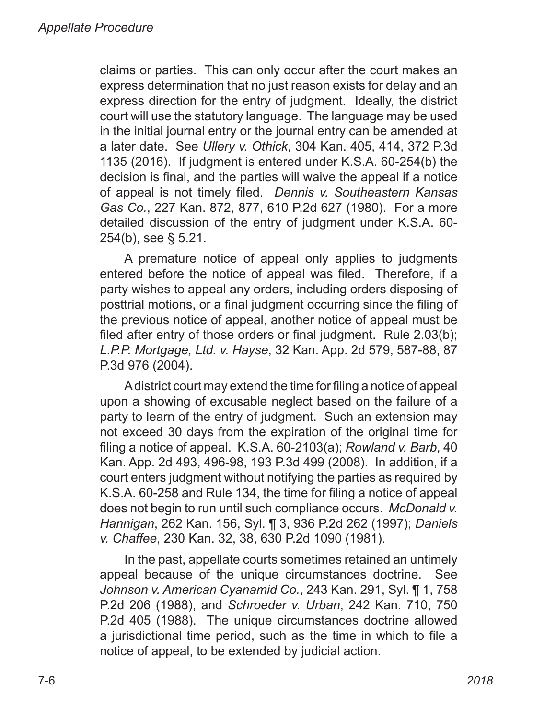claims or parties. This can only occur after the court makes an express determination that no just reason exists for delay and an express direction for the entry of judgment. Ideally, the district court will use the statutory language. The language may be used in the initial journal entry or the journal entry can be amended at a later date. See *Ullery v. Othick*, 304 Kan. 405, 414, 372 P.3d 1135 (2016). If judgment is entered under K.S.A. 60-254(b) the decision is final, and the parties will waive the appeal if a notice of appeal is not timely filed. *Dennis v. Southeastern Kansas Gas Co.*, 227 Kan. 872, 877, 610 P.2d 627 (1980). For a more detailed discussion of the entry of judgment under K.S.A. 60-254(b), see § 5.21.

A premature notice of appeal only applies to judgments entered before the notice of appeal was filed. Therefore, if a party wishes to appeal any orders, including orders disposing of posttrial motions, or a final judgment occurring since the filing of the previous notice of appeal, another notice of appeal must be filed after entry of those orders or final judgment. Rule 2.03(b); *L.P.P. Mortgage, Ltd. v. Hayse*, 32 Kan. App. 2d 579, 587‑88, 87 P.3d 976 (2004).

A district court may extend the time for filing a notice of appeal upon a showing of excusable neglect based on the failure of a party to learn of the entry of judgment. Such an extension may not exceed 30 days from the expiration of the original time for filing a notice of appeal. K.S.A. 60‑2103(a); *Rowland v. Barb*, 40 Kan. App. 2d 493, 496‑98, 193 P.3d 499 (2008). In addition, if a court enters judgment without notifying the parties as required by K.S.A. 60‑258 and Rule 134, the time for filing a notice of appeal does not begin to run until such compliance occurs. *McDonald v. Hannigan*, 262 Kan. 156, Syl. ¶ 3, 936 P.2d 262 (1997); *Daniels v. Chaffee*, 230 Kan. 32, 38, 630 P.2d 1090 (1981).

In the past, appellate courts sometimes retained an untimely appeal because of the unique circumstances doctrine. See *Johnson v. American Cyanamid Co.*, 243 Kan. 291, Syl. ¶ 1, 758 P.2d 206 (1988), and *Schroeder v. Urban*, 242 Kan. 710, 750 P.2d 405 (1988). The unique circumstances doctrine allowed a jurisdictional time period, such as the time in which to file a notice of appeal, to be extended by judicial action.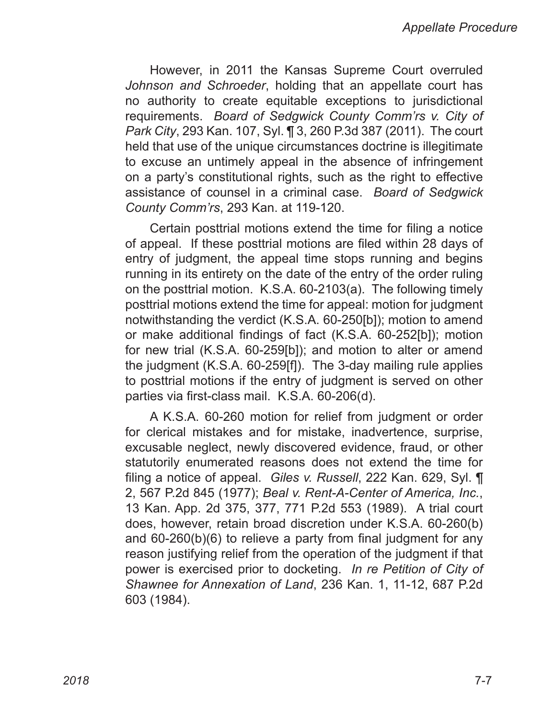However, in 2011 the Kansas Supreme Court overruled *Johnson and Schroeder*, holding that an appellate court has no authority to create equitable exceptions to jurisdictional requirements. *Board of Sedgwick County Comm'rs v. City of Park City*, 293 Kan. 107, Syl. ¶ 3, 260 P.3d 387 (2011). The court held that use of the unique circumstances doctrine is illegitimate to excuse an untimely appeal in the absence of infringement on a party's constitutional rights, such as the right to effective assistance of counsel in a criminal case. *Board of Sedgwick County Comm'rs*, 293 Kan. at 119‑120.

Certain posttrial motions extend the time for filing a notice of appeal. If these posttrial motions are filed within 28 days of entry of judgment, the appeal time stops running and begins running in its entirety on the date of the entry of the order ruling on the posttrial motion. K.S.A. 60‑2103(a). The following timely posttrial motions extend the time for appeal: motion for judgment notwithstanding the verdict (K.S.A. 60‑250[b]); motion to amend or make additional findings of fact (K.S.A. 60‑252[b]); motion for new trial (K.S.A. 60‑259[b]); and motion to alter or amend the judgment (K.S.A. 60‑259[f]). The 3‑day mailing rule applies to posttrial motions if the entry of judgment is served on other parties via first-class mail. K.S.A. 60-206(d).

A K.S.A. 60‑260 motion for relief from judgment or order for clerical mistakes and for mistake, inadvertence, surprise, excusable neglect, newly discovered evidence, fraud, or other statutorily enumerated reasons does not extend the time for filing a notice of appeal. *Giles v. Russell*, 222 Kan. 629, Syl. ¶ 2, 567 P.2d 845 (1977); *Beal v. Rent-A-Center of America, Inc.*, 13 Kan. App. 2d 375, 377, 771 P.2d 553 (1989). A trial court does, however, retain broad discretion under K.S.A. 60‑260(b) and 60‑260(b)(6) to relieve a party from final judgment for any reason justifying relief from the operation of the judgment if that power is exercised prior to docketing. *In re Petition of City of Shawnee for Annexation of Land*, 236 Kan. 1, 11‑12, 687 P.2d 603 (1984).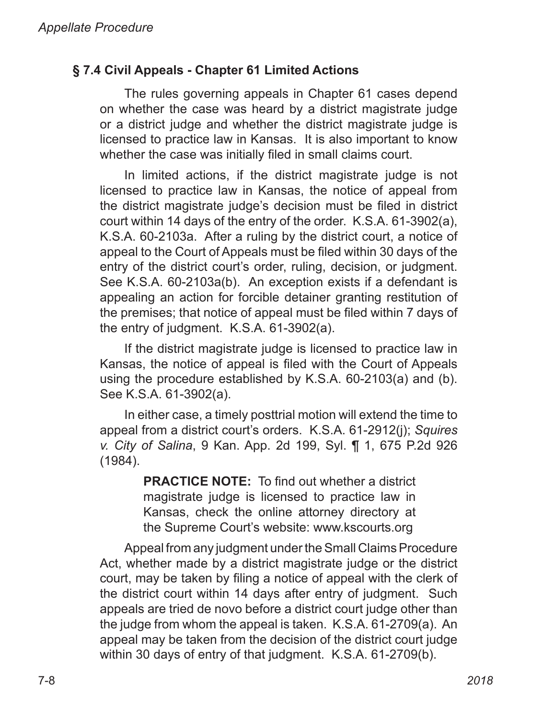## **§ 7.4 Civil Appeals - Chapter 61 Limited Actions**

The rules governing appeals in Chapter 61 cases depend on whether the case was heard by a district magistrate judge or a district judge and whether the district magistrate judge is licensed to practice law in Kansas. It is also important to know whether the case was initially filed in small claims court.

In limited actions, if the district magistrate judge is not licensed to practice law in Kansas, the notice of appeal from the district magistrate judge's decision must be filed in district court within 14 days of the entry of the order. K.S.A. 61-3902(a), K.S.A. 60-2103a. After a ruling by the district court, a notice of appeal to the Court of Appeals must be filed within 30 days of the entry of the district court's order, ruling, decision, or judgment. See K.S.A. 60-2103a(b). An exception exists if a defendant is appealing an action for forcible detainer granting restitution of the premises; that notice of appeal must be filed within 7 days of the entry of judgment. K.S.A. 61-3902(a).

If the district magistrate judge is licensed to practice law in Kansas, the notice of appeal is filed with the Court of Appeals using the procedure established by K.S.A. 60-2103(a) and (b). See K.S.A. 61-3902(a).

In either case, a timely posttrial motion will extend the time to appeal from a district court's orders. K.S.A. 61-2912(j); *Squires v. City of Salina*, 9 Kan. App. 2d 199, Syl. ¶ 1, 675 P.2d 926 (1984).

> **PRACTICE NOTE:** To find out whether a district magistrate judge is licensed to practice law in Kansas, check the online attorney directory at the Supreme Court's website: www.kscourts.org

Appeal from any judgment under the Small Claims Procedure Act, whether made by a district magistrate judge or the district court, may be taken by filing a notice of appeal with the clerk of the district court within 14 days after entry of judgment. Such appeals are tried de novo before a district court judge other than the judge from whom the appeal is taken. K.S.A. 61‑2709(a). An appeal may be taken from the decision of the district court judge within 30 days of entry of that judgment. K.S.A. 61-2709(b).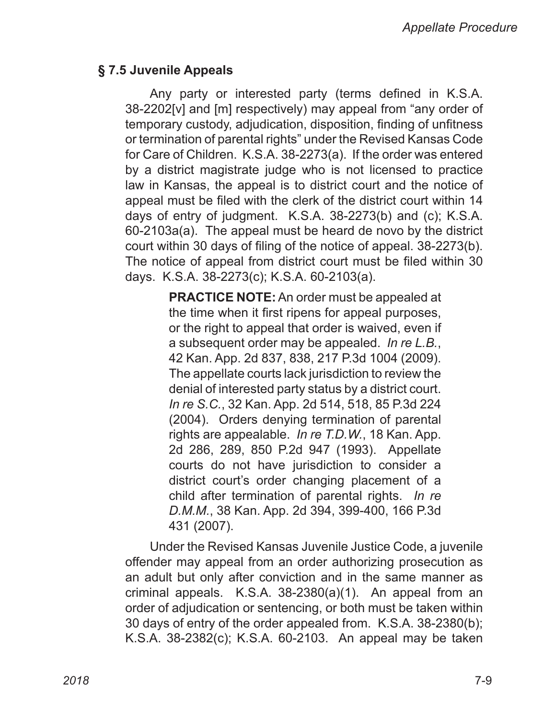#### **§ 7.5 Juvenile Appeals**

Any party or interested party (terms defined in K.S.A. 38‑2202[v] and [m] respectively) may appeal from "any order of temporary custody, adjudication, disposition, finding of unfitness or termination of parental rights" under the Revised Kansas Code for Care of Children. K.S.A. 38‑2273(a). If the order was entered by a district magistrate judge who is not licensed to practice law in Kansas, the appeal is to district court and the notice of appeal must be filed with the clerk of the district court within 14 days of entry of judgment. K.S.A. 38‑2273(b) and (c); K.S.A. 60‑2103a(a). The appeal must be heard de novo by the district court within 30 days of filing of the notice of appeal. 38‑2273(b). The notice of appeal from district court must be filed within 30 days. K.S.A. 38‑2273(c); K.S.A. 60‑2103(a).

> **PRACTICE NOTE:** An order must be appealed at the time when it first ripens for appeal purposes, or the right to appeal that order is waived, even if a subsequent order may be appealed. *In re L.B.*, 42 Kan. App. 2d 837, 838, 217 P.3d 1004 (2009). The appellate courts lack jurisdiction to review the denial of interested party status by a district court. *In re S.C.*, 32 Kan. App. 2d 514, 518, 85 P.3d 224 (2004). Orders denying termination of parental rights are appealable. *In re T.D.W.*, 18 Kan. App. 2d 286, 289, 850 P.2d 947 (1993). Appellate courts do not have jurisdiction to consider a district court's order changing placement of a child after termination of parental rights. *In re D.M.M.*, 38 Kan. App. 2d 394, 399‑400, 166 P.3d 431 (2007).

Under the Revised Kansas Juvenile Justice Code, a juvenile offender may appeal from an order authorizing prosecution as an adult but only after conviction and in the same manner as criminal appeals. K.S.A. 38‑2380(a)(1). An appeal from an order of adjudication or sentencing, or both must be taken within 30 days of entry of the order appealed from. K.S.A. 38‑2380(b); K.S.A. 38‑2382(c); K.S.A. 60‑2103. An appeal may be taken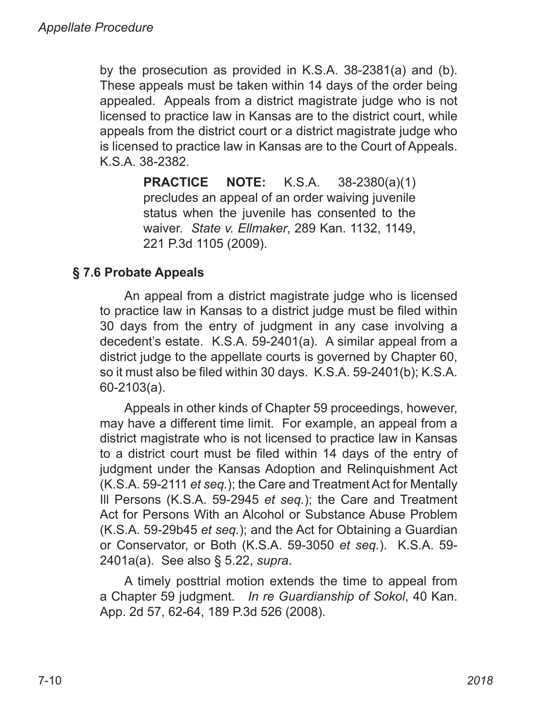by the prosecution as provided in K.S.A. 38‑2381(a) and (b). These appeals must be taken within 14 days of the order being appealed. Appeals from a district magistrate judge who is not licensed to practice law in Kansas are to the district court, while appeals from the district court or a district magistrate judge who is licensed to practice law in Kansas are to the Court of Appeals. K.S.A. 38-2382.

> **PRACTICE NOTE:** K.S.A. 38‑2380(a)(1) precludes an appeal of an order waiving juvenile status when the juvenile has consented to the waiver. *State v. Ellmaker*, 289 Kan. 1132, 1149, 221 P.3d 1105 (2009).

# **§ 7.6 Probate Appeals**

An appeal from a district magistrate judge who is licensed to practice law in Kansas to a district judge must be filed within 30 days from the entry of judgment in any case involving a decedent's estate. K.S.A. 59-2401(a). A similar appeal from a district judge to the appellate courts is governed by Chapter 60, so it must also be filed within 30 days. K.S.A. 59-2401(b); K.S.A. 60-2103(a).

Appeals in other kinds of Chapter 59 proceedings, however, may have a different time limit. For example, an appeal from a district magistrate who is not licensed to practice law in Kansas to a district court must be filed within 14 days of the entry of judgment under the Kansas Adoption and Relinquishment Act (K.S.A. 59-2111 *et seq.*); the Care and Treatment Act for Mentally Ill Persons (K.S.A. 59-2945 *et seq.*); the Care and Treatment Act for Persons With an Alcohol or Substance Abuse Problem (K.S.A. 59-29b45 *et seq.*); and the Act for Obtaining a Guardian or Conservator, or Both (K.S.A. 59-3050 *et seq.*). K.S.A. 59-2401a(a). See also § 5.22, *supra*.

A timely posttrial motion extends the time to appeal from a Chapter 59 judgment. *In re Guardianship of Sokol*, 40 Kan. App. 2d 57, 62-64, 189 P.3d 526 (2008).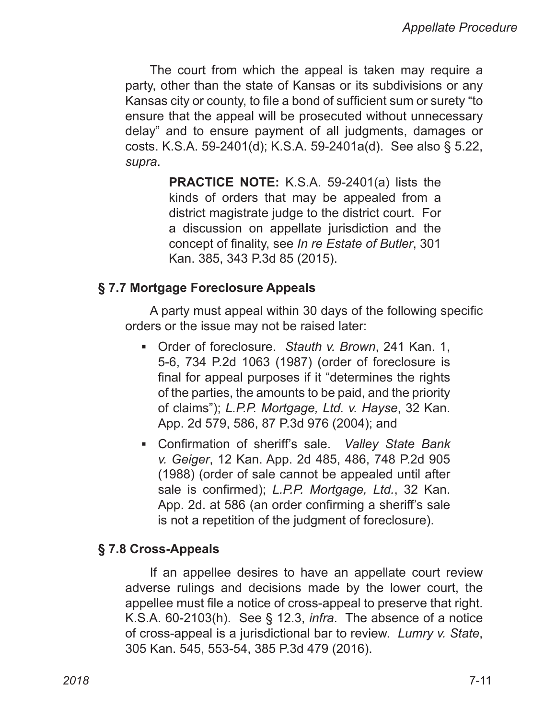The court from which the appeal is taken may require a party, other than the state of Kansas or its subdivisions or any Kansas city or county, to file a bond of sufficient sum or surety "to ensure that the appeal will be prosecuted without unnecessary delay" and to ensure payment of all judgments, damages or costs. K.S.A. 59‑2401(d); K.S.A. 59‑2401a(d). See also § 5.22, *supra*.

> **PRACTICE NOTE:** K.S.A. 59-2401(a) lists the kinds of orders that may be appealed from a district magistrate judge to the district court. For a discussion on appellate jurisdiction and the concept of finality, see *In re Estate of Butler*, 301 Kan. 385, 343 P.3d 85 (2015).

#### **§ 7.7 Mortgage Foreclosure Appeals**

A party must appeal within 30 days of the following specific orders or the issue may not be raised later:

- Order of foreclosure. *Stauth v. Brown*, 241 Kan. 1, 5‑6, 734 P.2d 1063 (1987) (order of foreclosure is final for appeal purposes if it "determines the rights of the parties, the amounts to be paid, and the priority of claims"); *L.P.P. Mortgage, Ltd. v. Hayse*, 32 Kan. App. 2d 579, 586, 87 P.3d 976 (2004); and
- Confirmation of sheriff's sale. *Valley State Bank*  ▪*v. Geiger*, 12 Kan. App. 2d 485, 486, 748 P.2d 905 (1988) (order of sale cannot be appealed until after sale is confirmed); *L.P.P. Mortgage, Ltd.*, 32 Kan. App. 2d. at 586 (an order confirming a sheriff's sale is not a repetition of the judgment of foreclosure).

#### **§ 7.8 Cross-Appeals**

If an appellee desires to have an appellate court review adverse rulings and decisions made by the lower court, the appellee must file a notice of cross‑appeal to preserve that right. K.S.A. 60‑2103(h). See § 12.3, *infra*. The absence of a notice of cross-appeal is a jurisdictional bar to review. *Lumry v. State*, 305 Kan. 545, 553-54, 385 P.3d 479 (2016).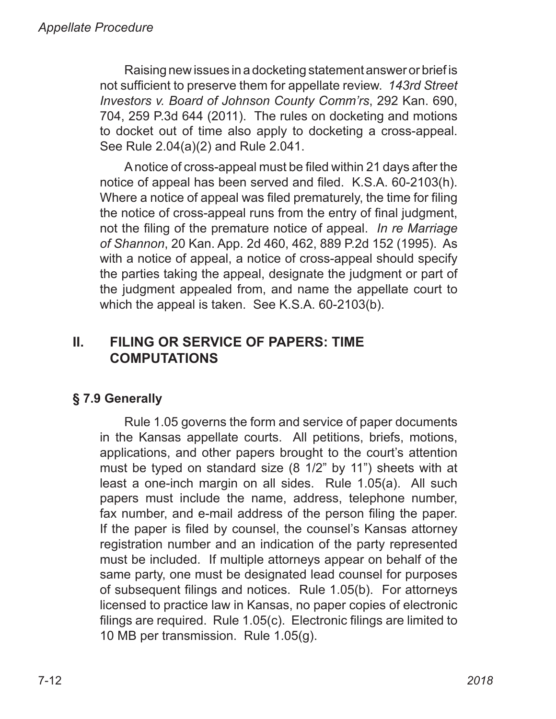Raising new issues in a docketing statement answer or brief is not sufficient to preserve them for appellate review. *143rd Street Investors v. Board of Johnson County Comm'rs*, 292 Kan. 690, 704, 259 P.3d 644 (2011). The rules on docketing and motions to docket out of time also apply to docketing a cross‑appeal. See Rule 2.04(a)(2) and Rule 2.041.

A notice of cross‑appeal must be filed within 21 days after the notice of appeal has been served and filed. K.S.A. 60‑2103(h). Where a notice of appeal was filed prematurely, the time for filing the notice of cross‑appeal runs from the entry of final judgment, not the filing of the premature notice of appeal. *In re Marriage of Shannon*, 20 Kan. App. 2d 460, 462, 889 P.2d 152 (1995). As with a notice of appeal, a notice of cross-appeal should specify the parties taking the appeal, designate the judgment or part of the judgment appealed from, and name the appellate court to which the appeal is taken. See K.S.A. 60-2103(b).

# **II. FILING OR SERVICE OF PAPERS: TIME COMPUTATIONS**

# **§ 7.9 Generally**

Rule 1.05 governs the form and service of paper documents in the Kansas appellate courts. All petitions, briefs, motions, applications, and other papers brought to the court's attention must be typed on standard size (8 1/2" by 11") sheets with at least a one-inch margin on all sides. Rule 1.05(a). All such papers must include the name, address, telephone number, fax number, and e-mail address of the person filing the paper. If the paper is filed by counsel, the counsel's Kansas attorney registration number and an indication of the party represented must be included. If multiple attorneys appear on behalf of the same party, one must be designated lead counsel for purposes of subsequent filings and notices. Rule 1.05(b). For attorneys licensed to practice law in Kansas, no paper copies of electronic filings are required. Rule 1.05(c). Electronic filings are limited to 10 MB per transmission. Rule 1.05(g).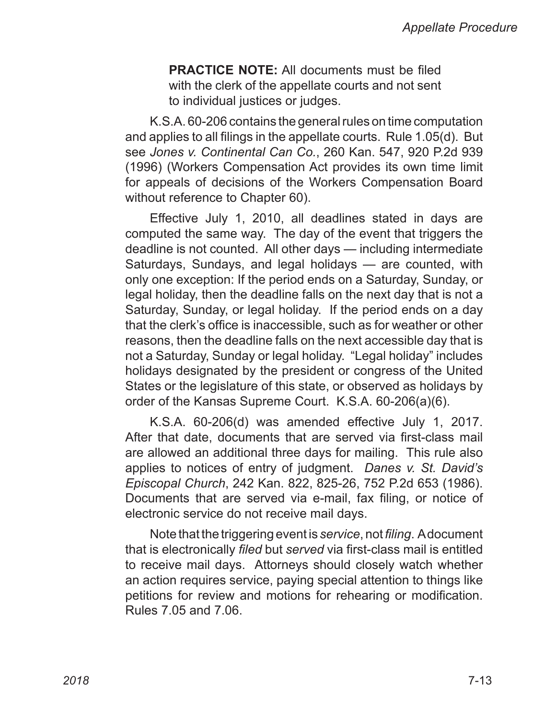**PRACTICE NOTE:** All documents must be filed with the clerk of the appellate courts and not sent to individual justices or judges.

K.S.A. 60‑206 contains the general rules on time computation and applies to all filings in the appellate courts. Rule 1.05(d). But see *Jones v. Continental Can Co.*, 260 Kan. 547, 920 P.2d 939 (1996) (Workers Compensation Act provides its own time limit for appeals of decisions of the Workers Compensation Board without reference to Chapter 60).

Effective July 1, 2010, all deadlines stated in days are computed the same way. The day of the event that triggers the deadline is not counted. All other days — including intermediate Saturdays, Sundays, and legal holidays — are counted, with only one exception: If the period ends on a Saturday, Sunday, or legal holiday, then the deadline falls on the next day that is not a Saturday, Sunday, or legal holiday. If the period ends on a day that the clerk's office is inaccessible, such as for weather or other reasons, then the deadline falls on the next accessible day that is not a Saturday, Sunday or legal holiday. "Legal holiday" includes holidays designated by the president or congress of the United States or the legislature of this state, or observed as holidays by order of the Kansas Supreme Court. K.S.A. 60‑206(a)(6).

K.S.A. 60-206(d) was amended effective July 1, 2017. After that date, documents that are served via first-class mail are allowed an additional three days for mailing. This rule also applies to notices of entry of judgment. *Danes v. St. David's Episcopal Church*, 242 Kan. 822, 825-26, 752 P.2d 653 (1986). Documents that are served via e-mail, fax filing, or notice of electronic service do not receive mail days.

Note that the triggering event is *service*, not *filing*. A document that is electronically *filed* but *served* via first-class mail is entitled to receive mail days. Attorneys should closely watch whether an action requires service, paying special attention to things like petitions for review and motions for rehearing or modification. Rules 7.05 and 7.06.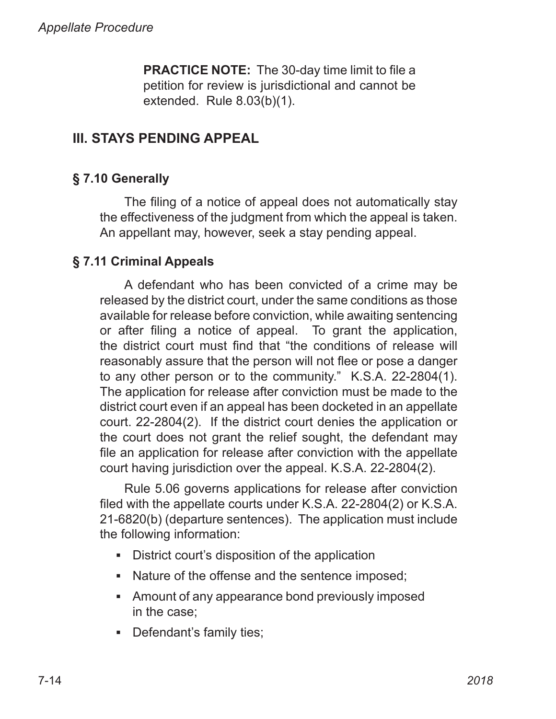**PRACTICE NOTE:** The 30‑day time limit to file a petition for review is jurisdictional and cannot be extended. Rule 8.03(b)(1).

# **III. STAYS PENDING APPEAL**

# **§ 7.10 Generally**

The filing of a notice of appeal does not automatically stay the effectiveness of the judgment from which the appeal is taken. An appellant may, however, seek a stay pending appeal.

# **§ 7.11 Criminal Appeals**

A defendant who has been convicted of a crime may be released by the district court, under the same conditions as those available for release before conviction, while awaiting sentencing or after filing a notice of appeal. To grant the application, the district court must find that "the conditions of release will reasonably assure that the person will not flee or pose a danger to any other person or to the community." K.S.A. 22-2804(1). The application for release after conviction must be made to the district court even if an appeal has been docketed in an appellate court. 22‑2804(2). If the district court denies the application or the court does not grant the relief sought, the defendant may file an application for release after conviction with the appellate court having jurisdiction over the appeal. K.S.A. 22‑2804(2).

Rule 5.06 governs applications for release after conviction filed with the appellate courts under K.S.A. 22‑2804(2) or K.S.A. 21‑6820(b) (departure sentences). The application must include the following information:

- District court's disposition of the application
- Nature of the offense and the sentence imposed;
- Amount of any appearance bond previously imposed in the case;
- Defendant's family ties;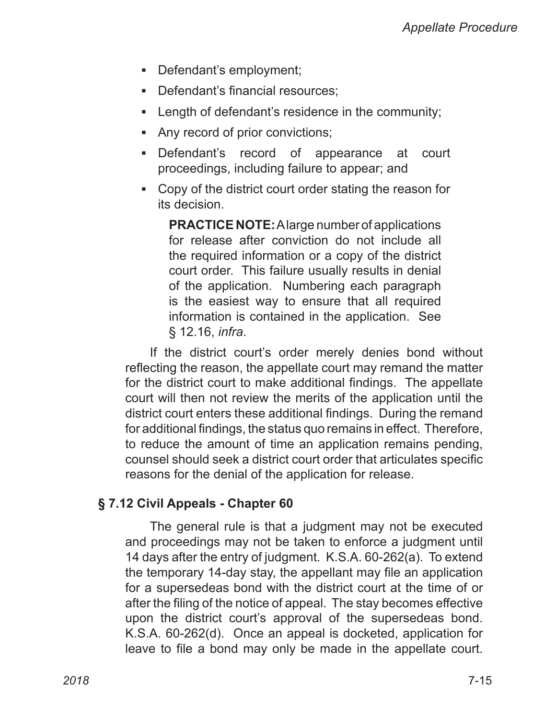- Defendant's employment;
- Defendant's financial resources;
- **EXELGE 10 Inducat Leage in the community; I**
- Any record of prior convictions;
- **•** Defendant's record of appearance at court proceedings, including failure to appear; and
- Copy of the district court order stating the reason for its decision.

**PRACTICE NOTE:** A large number of applications for release after conviction do not include all the required information or a copy of the district court order. This failure usually results in denial of the application. Numbering each paragraph is the easiest way to ensure that all required information is contained in the application. See § 12.16, *infra*.

If the district court's order merely denies bond without reflecting the reason, the appellate court may remand the matter for the district court to make additional findings. The appellate court will then not review the merits of the application until the district court enters these additional findings. During the remand for additional findings, the status quo remains in effect. Therefore, to reduce the amount of time an application remains pending, counsel should seek a district court order that articulates specific reasons for the denial of the application for release.

#### **§ 7.12 Civil Appeals - Chapter 60**

The general rule is that a judgment may not be executed and proceedings may not be taken to enforce a judgment until 14 days after the entry of judgment. K.S.A. 60‑262(a). To extend the temporary 14‑day stay, the appellant may file an application for a supersedeas bond with the district court at the time of or after the filing of the notice of appeal. The stay becomes effective upon the district court's approval of the supersedeas bond. K.S.A. 60‑262(d). Once an appeal is docketed, application for leave to file a bond may only be made in the appellate court.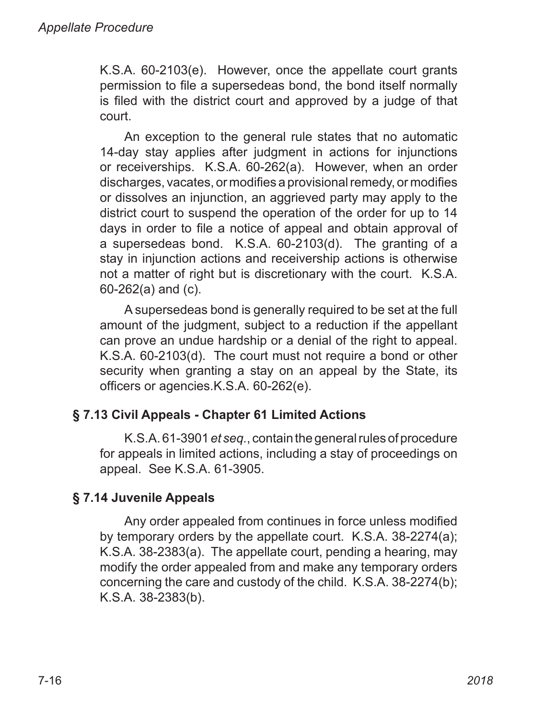K.S.A. 60‑2103(e). However, once the appellate court grants permission to file a supersedeas bond, the bond itself normally is filed with the district court and approved by a judge of that court.

An exception to the general rule states that no automatic 14-day stay applies after judgment in actions for injunctions or receiverships. K.S.A. 60‑262(a). However, when an order discharges, vacates, or modifies a provisional remedy, or modifies or dissolves an injunction, an aggrieved party may apply to the district court to suspend the operation of the order for up to 14 days in order to file a notice of appeal and obtain approval of a supersedeas bond. K.S.A. 60‑2103(d). The granting of a stay in injunction actions and receivership actions is otherwise not a matter of right but is discretionary with the court. K.S.A. 60‑262(a) and (c).

A supersedeas bond is generally required to be set at the full amount of the judgment, subject to a reduction if the appellant can prove an undue hardship or a denial of the right to appeal. K.S.A. 60‑2103(d). The court must not require a bond or other security when granting a stay on an appeal by the State, its officers or agencies.K.S.A. 60‑262(e).

# **§ 7.13 Civil Appeals - Chapter 61 Limited Actions**

K.S.A. 61‑3901 *et seq.*, contain the general rules of procedure for appeals in limited actions, including a stay of proceedings on appeal. See K.S.A. 61‑3905.

# **§ 7.14 Juvenile Appeals**

Any order appealed from continues in force unless modified by temporary orders by the appellate court. K.S.A. 38‑2274(a); K.S.A. 38‑2383(a). The appellate court, pending a hearing, may modify the order appealed from and make any temporary orders concerning the care and custody of the child. K.S.A. 38‑2274(b); K.S.A. 38‑2383(b).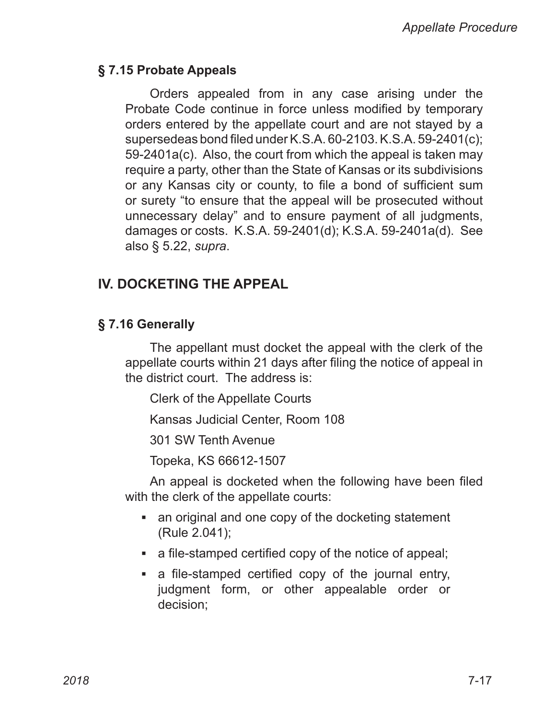#### **§ 7.15 Probate Appeals**

Orders appealed from in any case arising under the Probate Code continue in force unless modified by temporary orders entered by the appellate court and are not stayed by a supersedeas bond filed under K.S.A. 60‑2103. K.S.A. 59‑2401(c); 59‑2401a(c). Also, the court from which the appeal is taken may require a party, other than the State of Kansas or its subdivisions or any Kansas city or county, to file a bond of sufficient sum or surety "to ensure that the appeal will be prosecuted without unnecessary delay" and to ensure payment of all judgments, damages or costs. K.S.A. 59‑2401(d); K.S.A. 59‑2401a(d). See also § 5.22, *supra*.

# **IV. DOCKETING THE APPEAL**

## **§ 7.16 Generally**

The appellant must docket the appeal with the clerk of the appellate courts within 21 days after filing the notice of appeal in the district court. The address is:

Clerk of the Appellate Courts

Kansas Judicial Center, Room 108

301 SW Tenth Avenue

Topeka, KS 66612‑1507

An appeal is docketed when the following have been filed with the clerk of the appellate courts:

- an original and one copy of the docketing statement (Rule 2.041);
- a file-stamped certified copy of the notice of appeal;
- a file-stamped certified copy of the journal entry, judgment form, or other appealable order or decision;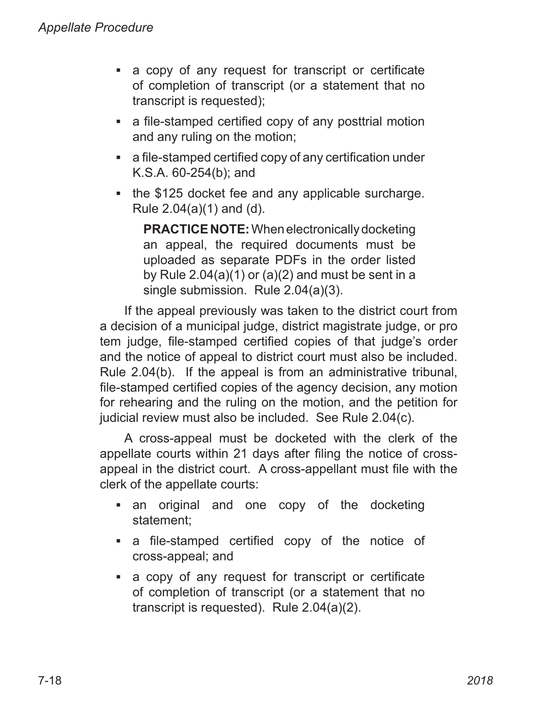- a copy of any request for transcript or certificate of completion of transcript (or a statement that no transcript is requested);
- a file-stamped certified copy of any posttrial motion and any ruling on the motion;
- a file-stamped certified copy of any certification under K.S.A. 60‑254(b); and
- the \$125 docket fee and any applicable surcharge. Rule 2.04(a)(1) and (d).

**PRACTICENOTE:** When electronically docketing an appeal, the required documents must be uploaded as separate PDFs in the order listed by Rule  $2.04(a)(1)$  or  $(a)(2)$  and must be sent in a single submission. Rule 2.04(a)(3).

If the appeal previously was taken to the district court from a decision of a municipal judge, district magistrate judge, or pro tem judge, file‑stamped certified copies of that judge's order and the notice of appeal to district court must also be included. Rule 2.04(b). If the appeal is from an administrative tribunal, file‑stamped certified copies of the agency decision, any motion for rehearing and the ruling on the motion, and the petition for judicial review must also be included. See Rule 2.04(c).

A cross‑appeal must be docketed with the clerk of the appellate courts within 21 days after filing the notice of crossappeal in the district court. A cross‑appellant must file with the clerk of the appellate courts:

- an original and one copy of the docketing statement;
- a file-stamped certified copy of the notice of cross‑appeal; and
- a copy of any request for transcript or certificate of completion of transcript (or a statement that no transcript is requested). Rule 2.04(a)(2).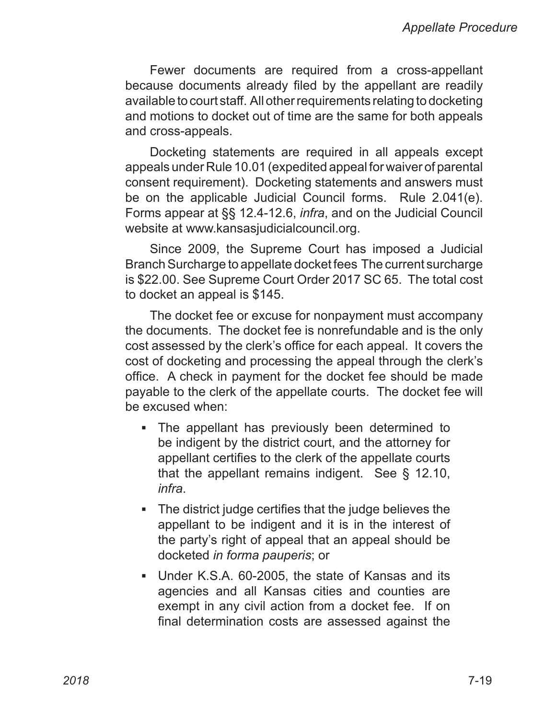Fewer documents are required from a cross-appellant because documents already filed by the appellant are readily available to court staff. All other requirements relating to docketing and motions to docket out of time are the same for both appeals and cross‑appeals.

Docketing statements are required in all appeals except appeals under Rule 10.01 (expedited appeal for waiver of parental consent requirement). Docketing statements and answers must be on the applicable Judicial Council forms. Rule 2.041(e). Forms appear at §§ 12.4‑12.6, *infra*, and on the Judicial Council website at www.kansasjudicialcouncil.org.

Since 2009, the Supreme Court has imposed a Judicial Branch Surcharge to appellate docket fees The current surcharge is \$22.00. See Supreme Court Order 2017 SC 65. The total cost to docket an appeal is \$145.

The docket fee or excuse for nonpayment must accompany the documents. The docket fee is nonrefundable and is the only cost assessed by the clerk's office for each appeal. It covers the cost of docketing and processing the appeal through the clerk's office. A check in payment for the docket fee should be made payable to the clerk of the appellate courts. The docket fee will be excused when:

- The appellant has previously been determined to be indigent by the district court, and the attorney for appellant certifies to the clerk of the appellate courts that the appellant remains indigent. See § 12.10, *infra*.
- The district judge certifies that the judge believes the appellant to be indigent and it is in the interest of the party's right of appeal that an appeal should be docketed *in forma pauperis*; or
- Under K.S.A. 60-2005, the state of Kansas and its agencies and all Kansas cities and counties are exempt in any civil action from a docket fee. If on final determination costs are assessed against the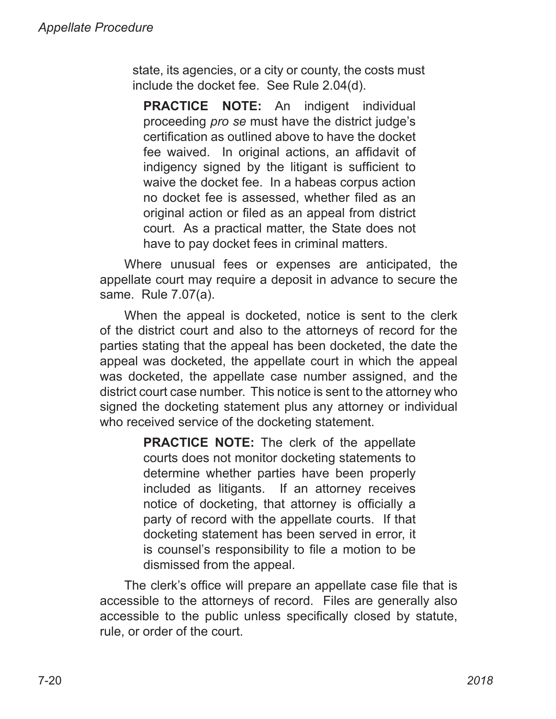state, its agencies, or a city or county, the costs must include the docket fee. See Rule 2.04(d).

**PRACTICE NOTE:** An indigent individual proceeding *pro se* must have the district judge's certification as outlined above to have the docket fee waived. In original actions, an affidavit of indigency signed by the litigant is sufficient to waive the docket fee. In a habeas corpus action no docket fee is assessed, whether filed as an original action or filed as an appeal from district court. As a practical matter, the State does not have to pay docket fees in criminal matters.

Where unusual fees or expenses are anticipated, the appellate court may require a deposit in advance to secure the same. Rule 7.07(a).

When the appeal is docketed, notice is sent to the clerk of the district court and also to the attorneys of record for the parties stating that the appeal has been docketed, the date the appeal was docketed, the appellate court in which the appeal was docketed, the appellate case number assigned, and the district court case number. This notice is sent to the attorney who signed the docketing statement plus any attorney or individual who received service of the docketing statement.

> **PRACTICE NOTE:** The clerk of the appellate courts does not monitor docketing statements to determine whether parties have been properly included as litigants. If an attorney receives notice of docketing, that attorney is officially a party of record with the appellate courts. If that docketing statement has been served in error, it is counsel's responsibility to file a motion to be dismissed from the appeal.

The clerk's office will prepare an appellate case file that is accessible to the attorneys of record. Files are generally also accessible to the public unless specifically closed by statute, rule, or order of the court.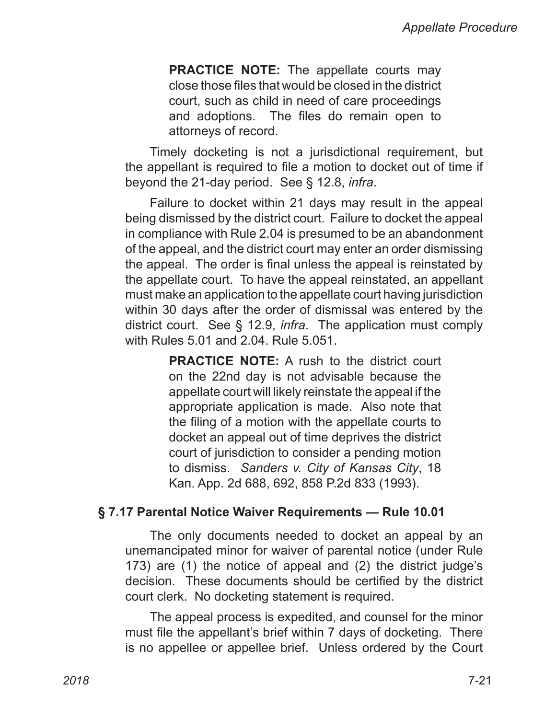**PRACTICE NOTE:** The appellate courts may close those files that would be closed in the district court, such as child in need of care proceedings and adoptions. The files do remain open to attorneys of record.

Timely docketing is not a jurisdictional requirement, but the appellant is required to file a motion to docket out of time if beyond the 21‑day period. See § 12.8, *infra*.

Failure to docket within 21 days may result in the appeal being dismissed by the district court. Failure to docket the appeal in compliance with Rule 2.04 is presumed to be an abandonment of the appeal, and the district court may enter an order dismissing the appeal. The order is final unless the appeal is reinstated by the appellate court. To have the appeal reinstated, an appellant must make an application to the appellate court having jurisdiction within 30 days after the order of dismissal was entered by the district court. See § 12.9, *infra*. The application must comply with Rules 5.01 and 2.04. Rule 5.051.

> **PRACTICE NOTE:** A rush to the district court on the 22nd day is not advisable because the appellate court will likely reinstate the appeal if the appropriate application is made. Also note that the filing of a motion with the appellate courts to docket an appeal out of time deprives the district court of jurisdiction to consider a pending motion to dismiss. *Sanders v. City of Kansas City*, 18 Kan. App. 2d 688, 692, 858 P.2d 833 (1993).

#### **§ 7.17 Parental Notice Waiver Requirements — Rule 10.01**

The only documents needed to docket an appeal by an unemancipated minor for waiver of parental notice (under Rule 173) are (1) the notice of appeal and (2) the district judge's decision. These documents should be certified by the district court clerk. No docketing statement is required.

The appeal process is expedited, and counsel for the minor must file the appellant's brief within 7 days of docketing. There is no appellee or appellee brief. Unless ordered by the Court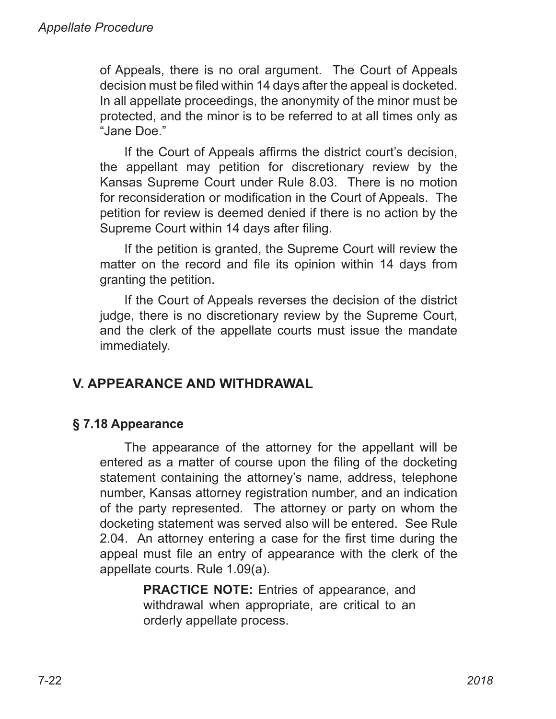of Appeals, there is no oral argument. The Court of Appeals decision must be filed within 14 days after the appeal is docketed. In all appellate proceedings, the anonymity of the minor must be protected, and the minor is to be referred to at all times only as "Jane Doe."

If the Court of Appeals affirms the district court's decision, the appellant may petition for discretionary review by the Kansas Supreme Court under Rule 8.03. There is no motion for reconsideration or modification in the Court of Appeals. The petition for review is deemed denied if there is no action by the Supreme Court within 14 days after filing.

If the petition is granted, the Supreme Court will review the matter on the record and file its opinion within 14 days from granting the petition.

If the Court of Appeals reverses the decision of the district judge, there is no discretionary review by the Supreme Court, and the clerk of the appellate courts must issue the mandate immediately.

# **V. APPEARANCE AND WITHDRAWAL**

# **§ 7.18 Appearance**

The appearance of the attorney for the appellant will be entered as a matter of course upon the filing of the docketing statement containing the attorney's name, address, telephone number, Kansas attorney registration number, and an indication of the party represented. The attorney or party on whom the docketing statement was served also will be entered. See Rule 2.04. An attorney entering a case for the first time during the appeal must file an entry of appearance with the clerk of the appellate courts. Rule 1.09(a).

> **PRACTICE NOTE:** Entries of appearance, and withdrawal when appropriate, are critical to an orderly appellate process.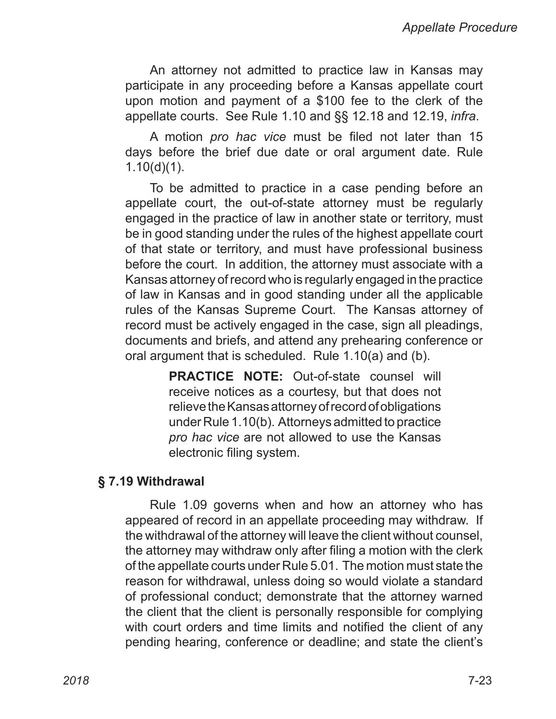An attorney not admitted to practice law in Kansas may participate in any proceeding before a Kansas appellate court upon motion and payment of a \$100 fee to the clerk of the appellate courts. See Rule 1.10 and §§ 12.18 and 12.19, *infra*.

A motion *pro hac vice* must be filed not later than 15 days before the brief due date or oral argument date. Rule 1.10(d)(1).

To be admitted to practice in a case pending before an appellate court, the out-of-state attorney must be regularly engaged in the practice of law in another state or territory, must be in good standing under the rules of the highest appellate court of that state or territory, and must have professional business before the court. In addition, the attorney must associate with a Kansas attorney of record who is regularly engaged in the practice of law in Kansas and in good standing under all the applicable rules of the Kansas Supreme Court. The Kansas attorney of record must be actively engaged in the case, sign all pleadings, documents and briefs, and attend any prehearing conference or oral argument that is scheduled. Rule 1.10(a) and (b).

> **PRACTICE NOTE:** Out‑of‑state counsel will receive notices as a courtesy, but that does not relieve the Kansas attorney of record of obligations under Rule 1.10(b). Attorneys admitted to practice *pro hac vice* are not allowed to use the Kansas electronic filing system.

#### **§ 7.19 Withdrawal**

Rule 1.09 governs when and how an attorney who has appeared of record in an appellate proceeding may withdraw. If the withdrawal of the attorney will leave the client without counsel, the attorney may withdraw only after filing a motion with the clerk of the appellate courts under Rule 5.01. The motion must state the reason for withdrawal, unless doing so would violate a standard of professional conduct; demonstrate that the attorney warned the client that the client is personally responsible for complying with court orders and time limits and notified the client of any pending hearing, conference or deadline; and state the client's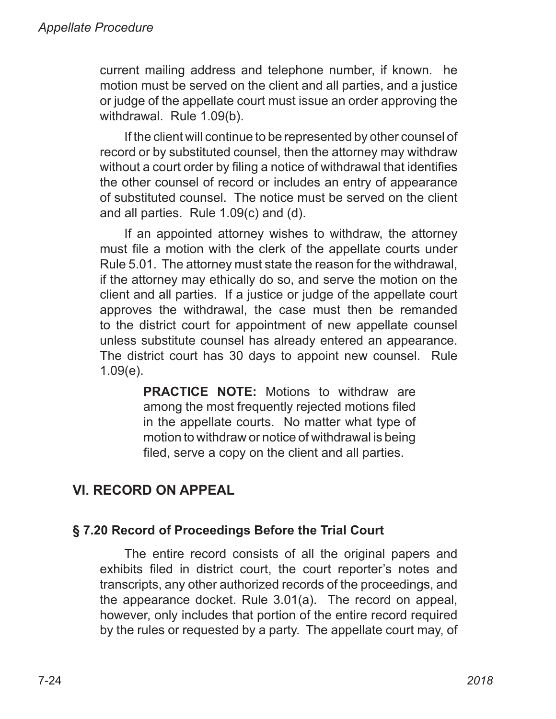current mailing address and telephone number, if known. he motion must be served on the client and all parties, and a justice or judge of the appellate court must issue an order approving the withdrawal. Rule 1.09(b).

If the client will continue to be represented by other counsel of record or by substituted counsel, then the attorney may withdraw without a court order by filing a notice of withdrawal that identifies the other counsel of record or includes an entry of appearance of substituted counsel. The notice must be served on the client and all parties. Rule 1.09(c) and (d).

If an appointed attorney wishes to withdraw, the attorney must file a motion with the clerk of the appellate courts under Rule 5.01. The attorney must state the reason for the withdrawal, if the attorney may ethically do so, and serve the motion on the client and all parties. If a justice or judge of the appellate court approves the withdrawal, the case must then be remanded to the district court for appointment of new appellate counsel unless substitute counsel has already entered an appearance. The district court has 30 days to appoint new counsel. Rule 1.09(e).

> **PRACTICE NOTE:** Motions to withdraw are among the most frequently rejected motions filed in the appellate courts. No matter what type of motion to withdraw or notice of withdrawal is being filed, serve a copy on the client and all parties.

# **VI. RECORD ON APPEAL**

# **§ 7.20 Record of Proceedings Before the Trial Court**

The entire record consists of all the original papers and exhibits filed in district court, the court reporter's notes and transcripts, any other authorized records of the proceedings, and the appearance docket. Rule 3.01(a). The record on appeal, however, only includes that portion of the entire record required by the rules or requested by a party. The appellate court may, of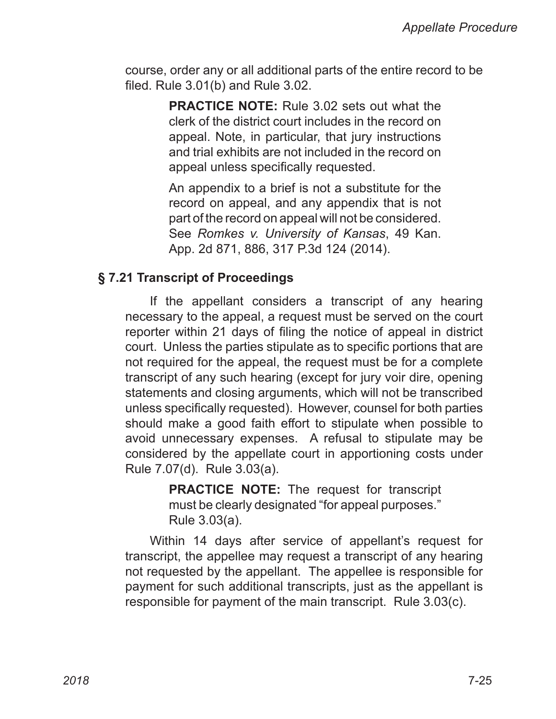course, order any or all additional parts of the entire record to be filed. Rule 3.01(b) and Rule 3.02.

> **PRACTICE NOTE:** Rule 3.02 sets out what the clerk of the district court includes in the record on appeal. Note, in particular, that jury instructions and trial exhibits are not included in the record on appeal unless specifically requested.

> An appendix to a brief is not a substitute for the record on appeal, and any appendix that is not part of the record on appeal will not be considered. See *Romkes v. University of Kansas*, 49 Kan. App. 2d 871, 886, 317 P.3d 124 (2014).

#### **§ 7.21 Transcript of Proceedings**

If the appellant considers a transcript of any hearing necessary to the appeal, a request must be served on the court reporter within 21 days of filing the notice of appeal in district court. Unless the parties stipulate as to specific portions that are not required for the appeal, the request must be for a complete transcript of any such hearing (except for jury voir dire, opening statements and closing arguments, which will not be transcribed unless specifically requested). However, counsel for both parties should make a good faith effort to stipulate when possible to avoid unnecessary expenses. A refusal to stipulate may be considered by the appellate court in apportioning costs under Rule 7.07(d). Rule 3.03(a).

> **PRACTICE NOTE:** The request for transcript must be clearly designated "for appeal purposes." Rule 3.03(a).

Within 14 days after service of appellant's request for transcript, the appellee may request a transcript of any hearing not requested by the appellant. The appellee is responsible for payment for such additional transcripts, just as the appellant is responsible for payment of the main transcript. Rule 3.03(c).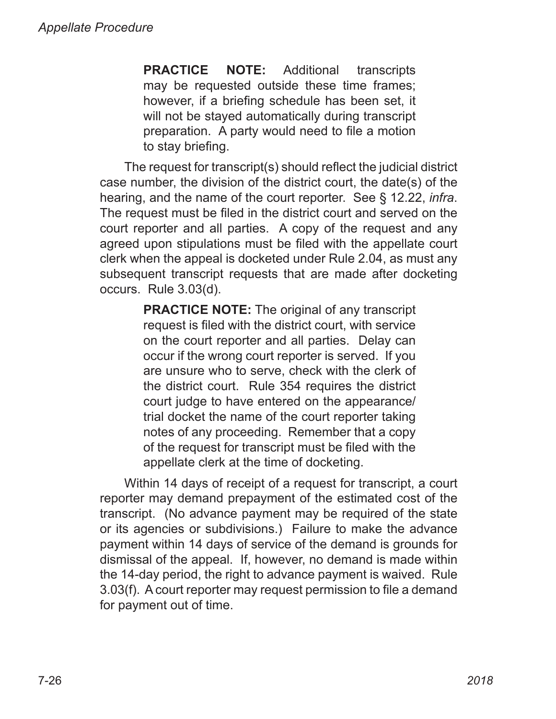**PRACTICE NOTE:** Additional transcripts may be requested outside these time frames; however, if a briefing schedule has been set, it will not be stayed automatically during transcript preparation. A party would need to file a motion to stay briefing.

The request for transcript(s) should reflect the judicial district case number, the division of the district court, the date(s) of the hearing, and the name of the court reporter. See § 12.22, *infra*. The request must be filed in the district court and served on the court reporter and all parties. A copy of the request and any agreed upon stipulations must be filed with the appellate court clerk when the appeal is docketed under Rule 2.04, as must any subsequent transcript requests that are made after docketing occurs. Rule 3.03(d).

> **PRACTICE NOTE:** The original of any transcript request is filed with the district court, with service on the court reporter and all parties. Delay can occur if the wrong court reporter is served. If you are unsure who to serve, check with the clerk of the district court. Rule 354 requires the district court judge to have entered on the appearance/ trial docket the name of the court reporter taking notes of any proceeding. Remember that a copy of the request for transcript must be filed with the appellate clerk at the time of docketing.

Within 14 days of receipt of a request for transcript, a court reporter may demand prepayment of the estimated cost of the transcript. (No advance payment may be required of the state or its agencies or subdivisions.) Failure to make the advance payment within 14 days of service of the demand is grounds for dismissal of the appeal. If, however, no demand is made within the 14‑day period, the right to advance payment is waived. Rule 3.03(f). A court reporter may request permission to file a demand for payment out of time.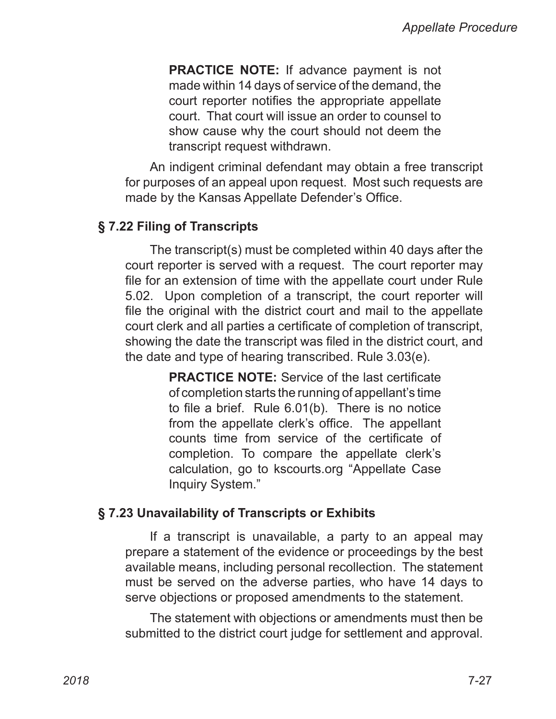**PRACTICE NOTE:** If advance payment is not made within 14 days of service of the demand, the court reporter notifies the appropriate appellate court. That court will issue an order to counsel to show cause why the court should not deem the transcript request withdrawn.

An indigent criminal defendant may obtain a free transcript for purposes of an appeal upon request. Most such requests are made by the Kansas Appellate Defender's Office.

#### **§ 7.22 Filing of Transcripts**

The transcript(s) must be completed within 40 days after the court reporter is served with a request. The court reporter may file for an extension of time with the appellate court under Rule 5.02. Upon completion of a transcript, the court reporter will file the original with the district court and mail to the appellate court clerk and all parties a certificate of completion of transcript, showing the date the transcript was filed in the district court, and the date and type of hearing transcribed. Rule 3.03(e).

> **PRACTICE NOTE:** Service of the last certificate of completion starts the running of appellant's time to file a brief. Rule 6.01(b). There is no notice from the appellate clerk's office. The appellant counts time from service of the certificate of completion. To compare the appellate clerk's calculation, go to kscourts.org "Appellate Case Inquiry System."

#### **§ 7.23 Unavailability of Transcripts or Exhibits**

If a transcript is unavailable, a party to an appeal may prepare a statement of the evidence or proceedings by the best available means, including personal recollection. The statement must be served on the adverse parties, who have 14 days to serve objections or proposed amendments to the statement.

The statement with objections or amendments must then be submitted to the district court judge for settlement and approval.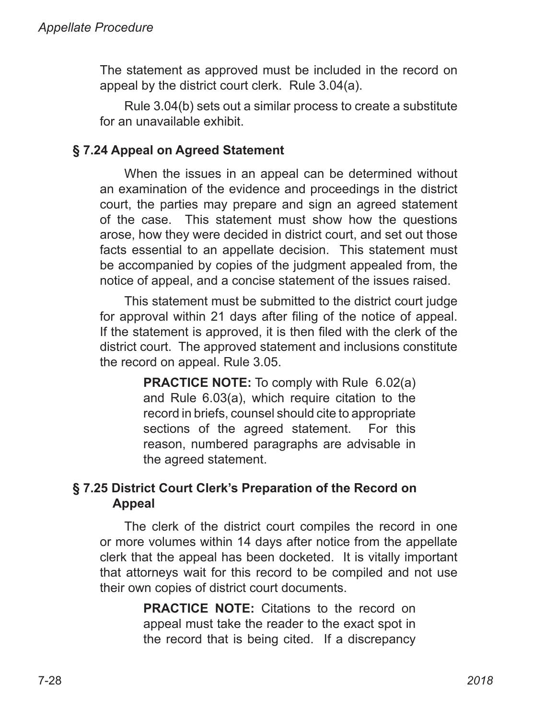The statement as approved must be included in the record on appeal by the district court clerk. Rule 3.04(a).

Rule 3.04(b) sets out a similar process to create a substitute for an unavailable exhibit.

# **§ 7.24 Appeal on Agreed Statement**

When the issues in an appeal can be determined without an examination of the evidence and proceedings in the district court, the parties may prepare and sign an agreed statement of the case. This statement must show how the questions arose, how they were decided in district court, and set out those facts essential to an appellate decision. This statement must be accompanied by copies of the judgment appealed from, the notice of appeal, and a concise statement of the issues raised.

This statement must be submitted to the district court judge for approval within 21 days after filing of the notice of appeal. If the statement is approved, it is then filed with the clerk of the district court. The approved statement and inclusions constitute the record on appeal. Rule 3.05.

> **PRACTICE NOTE:** To comply with Rule 6.02(a) and Rule 6.03(a), which require citation to the record in briefs, counsel should cite to appropriate sections of the agreed statement. For this reason, numbered paragraphs are advisable in the agreed statement.

## **§ 7.25 District Court Clerk's Preparation of the Record on Appeal**

The clerk of the district court compiles the record in one or more volumes within 14 days after notice from the appellate clerk that the appeal has been docketed. It is vitally important that attorneys wait for this record to be compiled and not use their own copies of district court documents.

> **PRACTICE NOTE:** Citations to the record on appeal must take the reader to the exact spot in the record that is being cited. If a discrepancy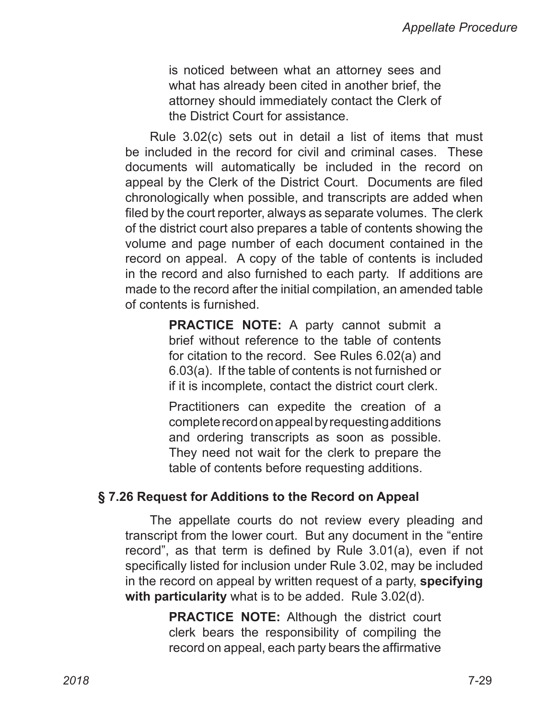is noticed between what an attorney sees and what has already been cited in another brief, the attorney should immediately contact the Clerk of the District Court for assistance.

Rule 3.02(c) sets out in detail a list of items that must be included in the record for civil and criminal cases. These documents will automatically be included in the record on appeal by the Clerk of the District Court. Documents are filed chronologically when possible, and transcripts are added when filed by the court reporter, always as separate volumes. The clerk of the district court also prepares a table of contents showing the volume and page number of each document contained in the record on appeal. A copy of the table of contents is included in the record and also furnished to each party. If additions are made to the record after the initial compilation, an amended table of contents is furnished.

> **PRACTICE NOTE:** A party cannot submit a brief without reference to the table of contents for citation to the record. See Rules 6.02(a) and 6.03(a). If the table of contents is not furnished or if it is incomplete, contact the district court clerk.

> Practitioners can expedite the creation of a complete record on appeal by requesting additions and ordering transcripts as soon as possible. They need not wait for the clerk to prepare the table of contents before requesting additions.

#### **§ 7.26 Request for Additions to the Record on Appeal**

The appellate courts do not review every pleading and transcript from the lower court. But any document in the "entire record", as that term is defined by Rule 3.01(a), even if not specifically listed for inclusion under Rule 3.02, may be included in the record on appeal by written request of a party, **specifying with particularity** what is to be added. Rule 3.02(d).

> **PRACTICE NOTE:** Although the district court clerk bears the responsibility of compiling the record on appeal, each party bears the affirmative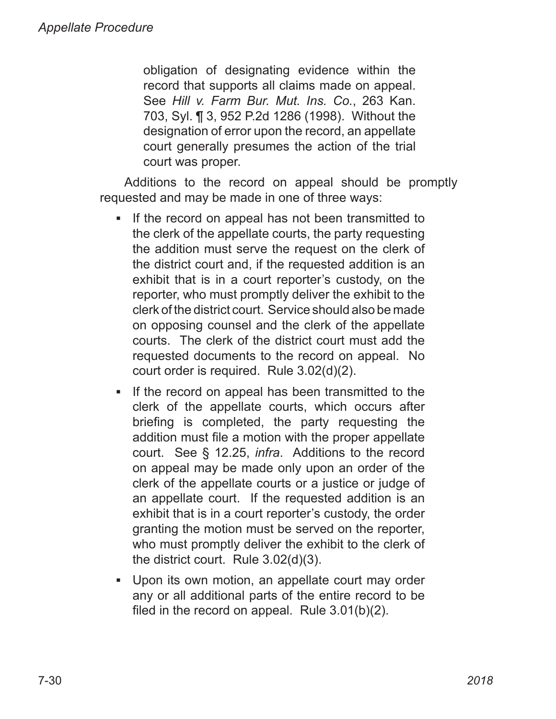obligation of designating evidence within the record that supports all claims made on appeal. See *Hill v. Farm Bur. Mut. Ins. Co.*, 263 Kan. 703, Syl. ¶ 3, 952 P.2d 1286 (1998). Without the designation of error upon the record, an appellate court generally presumes the action of the trial court was proper.

Additions to the record on appeal should be promptly requested and may be made in one of three ways:

- If the record on appeal has not been transmitted to the clerk of the appellate courts, the party requesting the addition must serve the request on the clerk of the district court and, if the requested addition is an exhibit that is in a court reporter's custody, on the reporter, who must promptly deliver the exhibit to the clerk of the district court. Service should also be made on opposing counsel and the clerk of the appellate courts. The clerk of the district court must add the requested documents to the record on appeal. No court order is required. Rule 3.02(d)(2). ▪
- If the record on appeal has been transmitted to the clerk of the appellate courts, which occurs after briefing is completed, the party requesting the addition must file a motion with the proper appellate court. See § 12.25, *infra*. Additions to the record on appeal may be made only upon an order of the clerk of the appellate courts or a justice or judge of an appellate court. If the requested addition is an exhibit that is in a court reporter's custody, the order granting the motion must be served on the reporter, who must promptly deliver the exhibit to the clerk of the district court. Rule 3.02(d)(3). ▪
- Upon its own motion, an appellate court may order ▪any or all additional parts of the entire record to be filed in the record on appeal. Rule 3.01(b)(2).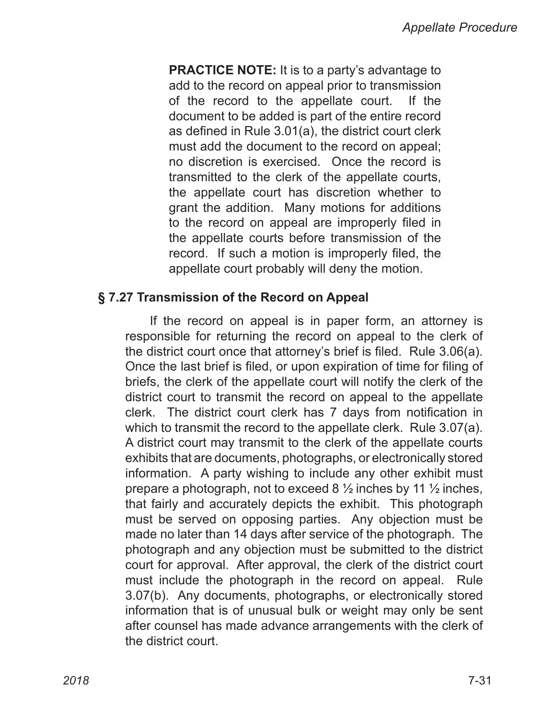**PRACTICE NOTE:** It is to a party's advantage to add to the record on appeal prior to transmission of the record to the appellate court. If the document to be added is part of the entire record as defined in Rule 3.01(a), the district court clerk must add the document to the record on appeal; no discretion is exercised. Once the record is transmitted to the clerk of the appellate courts, the appellate court has discretion whether to grant the addition. Many motions for additions to the record on appeal are improperly filed in the appellate courts before transmission of the record. If such a motion is improperly filed, the appellate court probably will deny the motion.

#### **§ 7.27 Transmission of the Record on Appeal**

If the record on appeal is in paper form, an attorney is responsible for returning the record on appeal to the clerk of the district court once that attorney's brief is filed. Rule 3.06(a). Once the last brief is filed, or upon expiration of time for filing of briefs, the clerk of the appellate court will notify the clerk of the district court to transmit the record on appeal to the appellate clerk. The district court clerk has 7 days from notification in which to transmit the record to the appellate clerk. Rule 3.07(a). A district court may transmit to the clerk of the appellate courts exhibits that are documents, photographs, or electronically stored information. A party wishing to include any other exhibit must prepare a photograph, not to exceed 8 ½ inches by 11 ½ inches, that fairly and accurately depicts the exhibit. This photograph must be served on opposing parties. Any objection must be made no later than 14 days after service of the photograph. The photograph and any objection must be submitted to the district court for approval. After approval, the clerk of the district court must include the photograph in the record on appeal. Rule 3.07(b). Any documents, photographs, or electronically stored information that is of unusual bulk or weight may only be sent after counsel has made advance arrangements with the clerk of the district court.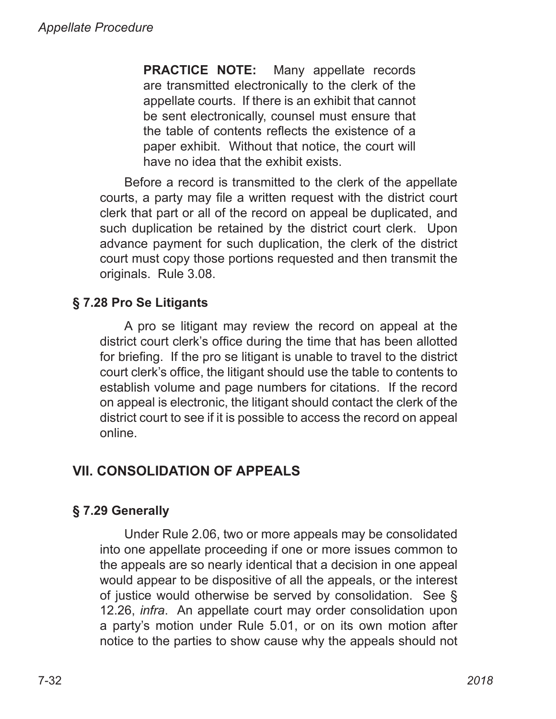**PRACTICE NOTE:** Many appellate records are transmitted electronically to the clerk of the appellate courts. If there is an exhibit that cannot be sent electronically, counsel must ensure that the table of contents reflects the existence of a paper exhibit. Without that notice, the court will have no idea that the exhibit exists.

Before a record is transmitted to the clerk of the appellate courts, a party may file a written request with the district court clerk that part or all of the record on appeal be duplicated, and such duplication be retained by the district court clerk. Upon advance payment for such duplication, the clerk of the district court must copy those portions requested and then transmit the originals. Rule 3.08.

# **§ 7.28 Pro Se Litigants**

A pro se litigant may review the record on appeal at the district court clerk's office during the time that has been allotted for briefing. If the pro se litigant is unable to travel to the district court clerk's office, the litigant should use the table to contents to establish volume and page numbers for citations. If the record on appeal is electronic, the litigant should contact the clerk of the district court to see if it is possible to access the record on appeal online.

# **VII. CONSOLIDATION OF APPEALS**

# **§ 7.29 Generally**

Under Rule 2.06, two or more appeals may be consolidated into one appellate proceeding if one or more issues common to the appeals are so nearly identical that a decision in one appeal would appear to be dispositive of all the appeals, or the interest of justice would otherwise be served by consolidation. See § 12.26, *infra*. An appellate court may order consolidation upon a party's motion under Rule 5.01, or on its own motion after notice to the parties to show cause why the appeals should not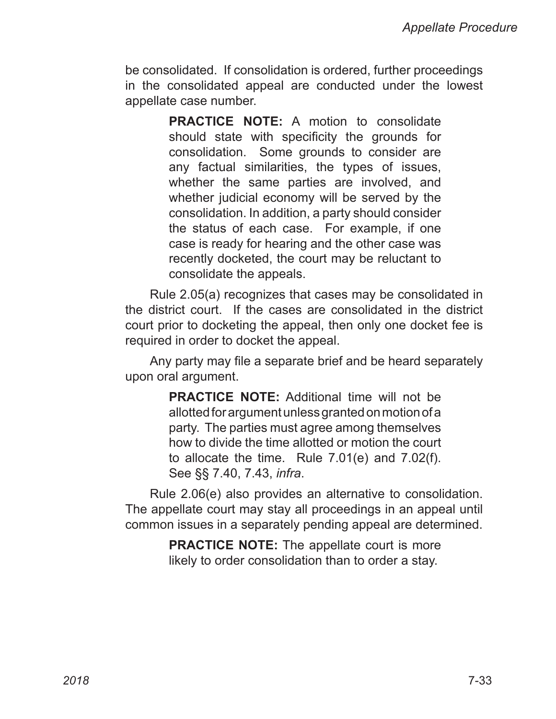be consolidated. If consolidation is ordered, further proceedings in the consolidated appeal are conducted under the lowest appellate case number.

> **PRACTICE NOTE:** A motion to consolidate should state with specificity the grounds for consolidation. Some grounds to consider are any factual similarities, the types of issues, whether the same parties are involved, and whether judicial economy will be served by the consolidation. In addition, a party should consider the status of each case. For example, if one case is ready for hearing and the other case was recently docketed, the court may be reluctant to consolidate the appeals.

Rule 2.05(a) recognizes that cases may be consolidated in the district court. If the cases are consolidated in the district court prior to docketing the appeal, then only one docket fee is required in order to docket the appeal.

Any party may file a separate brief and be heard separately upon oral argument.

> **PRACTICE NOTE:** Additional time will not be allotted for argument unless granted on motion of a party. The parties must agree among themselves how to divide the time allotted or motion the court to allocate the time. Rule 7.01(e) and 7.02(f). See §§ 7.40, 7.43, *infra*.

Rule 2.06(e) also provides an alternative to consolidation. The appellate court may stay all proceedings in an appeal until common issues in a separately pending appeal are determined.

> **PRACTICE NOTE:** The appellate court is more likely to order consolidation than to order a stay.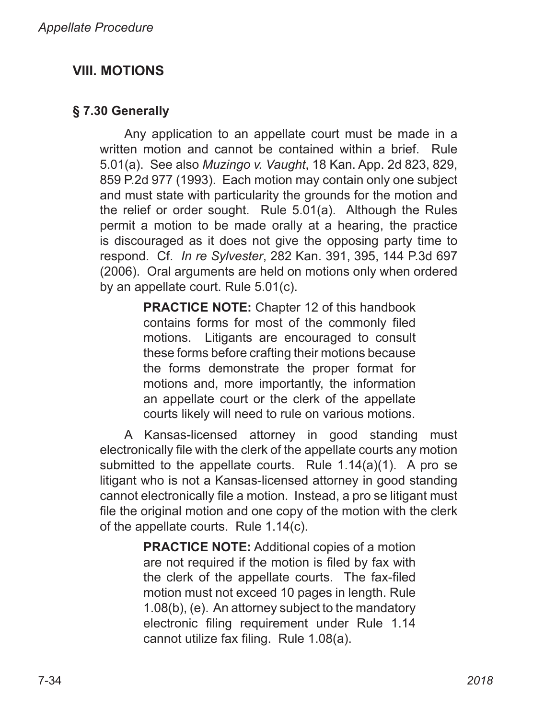# **VIII. MOTIONS**

## **§ 7.30 Generally**

Any application to an appellate court must be made in a written motion and cannot be contained within a brief. Rule 5.01(a). See also *Muzingo v. Vaught*, 18 Kan. App. 2d 823, 829, 859 P.2d 977 (1993). Each motion may contain only one subject and must state with particularity the grounds for the motion and the relief or order sought. Rule 5.01(a). Although the Rules permit a motion to be made orally at a hearing, the practice is discouraged as it does not give the opposing party time to respond. Cf. *In re Sylvester*, 282 Kan. 391, 395, 144 P.3d 697 (2006). Oral arguments are held on motions only when ordered by an appellate court. Rule 5.01(c).

> **PRACTICE NOTE:** Chapter 12 of this handbook contains forms for most of the commonly filed motions. Litigants are encouraged to consult these forms before crafting their motions because the forms demonstrate the proper format for motions and, more importantly, the information an appellate court or the clerk of the appellate courts likely will need to rule on various motions.

A Kansas-licensed attorney in good standing must electronically file with the clerk of the appellate courts any motion submitted to the appellate courts. Rule 1.14(a)(1). A pro se litigant who is not a Kansas-licensed attorney in good standing cannot electronically file a motion. Instead, a pro se litigant must file the original motion and one copy of the motion with the clerk of the appellate courts. Rule 1.14(c).

> **PRACTICE NOTE:** Additional copies of a motion are not required if the motion is filed by fax with the clerk of the appellate courts. The fax-filed motion must not exceed 10 pages in length. Rule 1.08(b), (e). An attorney subject to the mandatory electronic filing requirement under Rule 1.14 cannot utilize fax filing. Rule 1.08(a).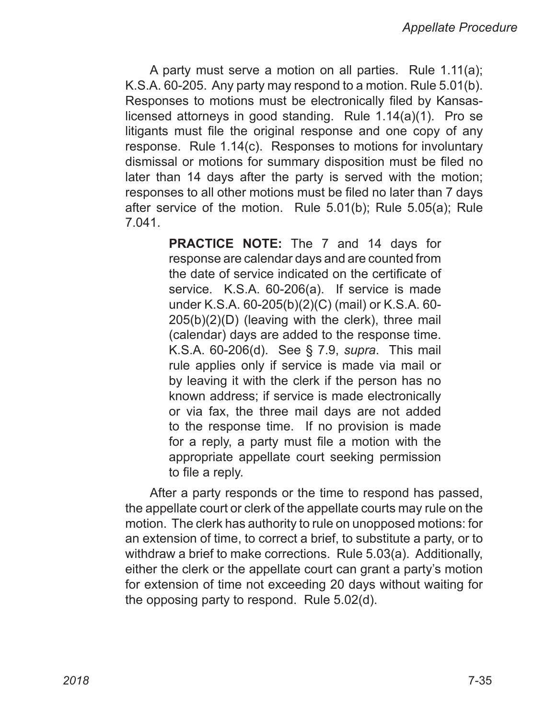A party must serve a motion on all parties. Rule 1.11(a); K.S.A. 60-205. Any party may respond to a motion. Rule 5.01(b). Responses to motions must be electronically filed by Kansaslicensed attorneys in good standing. Rule 1.14(a)(1). Pro se litigants must file the original response and one copy of any response. Rule 1.14(c). Responses to motions for involuntary dismissal or motions for summary disposition must be filed no later than 14 days after the party is served with the motion; responses to all other motions must be filed no later than 7 days after service of the motion. Rule 5.01(b); Rule 5.05(a); Rule 7.041.

> **PRACTICE NOTE:** The 7 and 14 days for response are calendar days and are counted from the date of service indicated on the certificate of service. K.S.A. 60-206(a). If service is made under K.S.A. 60-205(b)(2)(C) (mail) or K.S.A. 60-205(b)(2)(D) (leaving with the clerk), three mail (calendar) days are added to the response time. K.S.A. 60-206(d). See § 7.9, *supra*. This mail rule applies only if service is made via mail or by leaving it with the clerk if the person has no known address; if service is made electronically or via fax, the three mail days are not added to the response time. If no provision is made for a reply, a party must file a motion with the appropriate appellate court seeking permission to file a reply.

After a party responds or the time to respond has passed, the appellate court or clerk of the appellate courts may rule on the motion. The clerk has authority to rule on unopposed motions: for an extension of time, to correct a brief, to substitute a party, or to withdraw a brief to make corrections. Rule 5.03(a). Additionally, either the clerk or the appellate court can grant a party's motion for extension of time not exceeding 20 days without waiting for the opposing party to respond. Rule 5.02(d).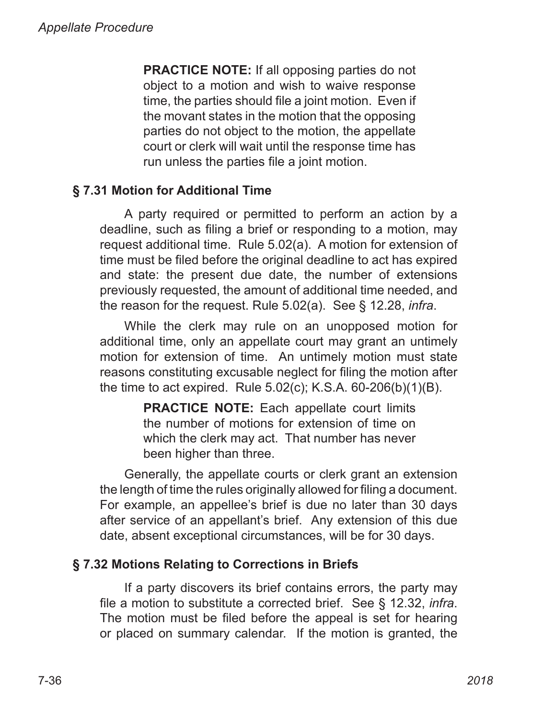**PRACTICE NOTE:** If all opposing parties do not object to a motion and wish to waive response time, the parties should file a joint motion. Even if the movant states in the motion that the opposing parties do not object to the motion, the appellate court or clerk will wait until the response time has run unless the parties file a joint motion.

# **§ 7.31 Motion for Additional Time**

A party required or permitted to perform an action by a deadline, such as filing a brief or responding to a motion, may request additional time. Rule 5.02(a). A motion for extension of time must be filed before the original deadline to act has expired and state: the present due date, the number of extensions previously requested, the amount of additional time needed, and the reason for the request. Rule 5.02(a). See § 12.28, *infra*.

While the clerk may rule on an unopposed motion for additional time, only an appellate court may grant an untimely motion for extension of time. An untimely motion must state reasons constituting excusable neglect for filing the motion after the time to act expired. Rule 5.02(c); K.S.A. 60‑206(b)(1)(B).

> **PRACTICE NOTE:** Each appellate court limits the number of motions for extension of time on which the clerk may act. That number has never been higher than three.

Generally, the appellate courts or clerk grant an extension the length of time the rules originally allowed for filing a document. For example, an appellee's brief is due no later than 30 days after service of an appellant's brief. Any extension of this due date, absent exceptional circumstances, will be for 30 days.

#### **§ 7.32 Motions Relating to Corrections in Briefs**

If a party discovers its brief contains errors, the party may file a motion to substitute a corrected brief. See § 12.32, *infra*. The motion must be filed before the appeal is set for hearing or placed on summary calendar. If the motion is granted, the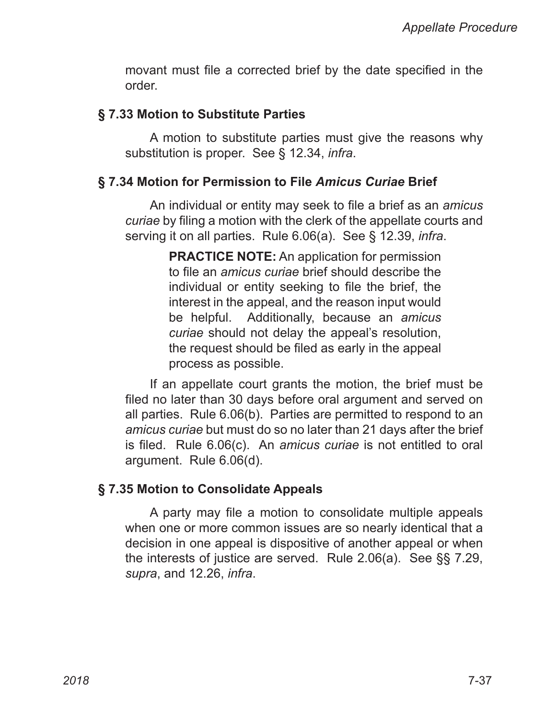movant must file a corrected brief by the date specified in the order.

#### **§ 7.33 Motion to Substitute Parties**

A motion to substitute parties must give the reasons why substitution is proper. See § 12.34, *infra*.

#### **§ 7.34 Motion for Permission to File** *Amicus Curiae* **Brief**

An individual or entity may seek to file a brief as an *amicus curiae* by filing a motion with the clerk of the appellate courts and serving it on all parties. Rule 6.06(a). See § 12.39, *infra*.

> **PRACTICE NOTE:** An application for permission to file an *amicus curiae* brief should describe the individual or entity seeking to file the brief, the interest in the appeal, and the reason input would be helpful. Additionally, because an *amicus curiae* should not delay the appeal's resolution, the request should be filed as early in the appeal process as possible.

If an appellate court grants the motion, the brief must be filed no later than 30 days before oral argument and served on all parties. Rule 6.06(b). Parties are permitted to respond to an *amicus curiae* but must do so no later than 21 days after the brief is filed. Rule 6.06(c). An *amicus curiae* is not entitled to oral argument. Rule 6.06(d).

#### **§ 7.35 Motion to Consolidate Appeals**

A party may file a motion to consolidate multiple appeals when one or more common issues are so nearly identical that a decision in one appeal is dispositive of another appeal or when the interests of justice are served. Rule 2.06(a). See §§ 7.29, *supra*, and 12.26, *infra*.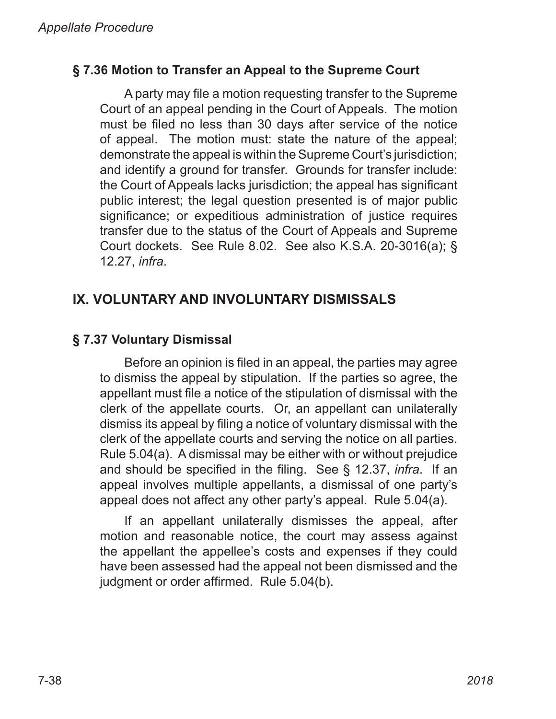#### **§ 7.36 Motion to Transfer an Appeal to the Supreme Court**

A party may file a motion requesting transfer to the Supreme Court of an appeal pending in the Court of Appeals. The motion must be filed no less than 30 days after service of the notice of appeal. The motion must: state the nature of the appeal; demonstrate the appeal is within the Supreme Court's jurisdiction; and identify a ground for transfer. Grounds for transfer include: the Court of Appeals lacks jurisdiction; the appeal has significant public interest; the legal question presented is of major public significance; or expeditious administration of justice requires transfer due to the status of the Court of Appeals and Supreme Court dockets. See Rule 8.02. See also K.S.A. 20-3016(a); § 12.27, *infra*.

# **IX. VOLUNTARY AND INVOLUNTARY DISMISSALS**

# **§ 7.37 Voluntary Dismissal**

Before an opinion is filed in an appeal, the parties may agree to dismiss the appeal by stipulation. If the parties so agree, the appellant must file a notice of the stipulation of dismissal with the clerk of the appellate courts. Or, an appellant can unilaterally dismiss its appeal by filing a notice of voluntary dismissal with the clerk of the appellate courts and serving the notice on all parties. Rule 5.04(a). A dismissal may be either with or without prejudice and should be specified in the filing. See § 12.37, *infra*. If an appeal involves multiple appellants, a dismissal of one party's appeal does not affect any other party's appeal. Rule 5.04(a).

If an appellant unilaterally dismisses the appeal, after motion and reasonable notice, the court may assess against the appellant the appellee's costs and expenses if they could have been assessed had the appeal not been dismissed and the judgment or order affirmed. Rule 5.04(b).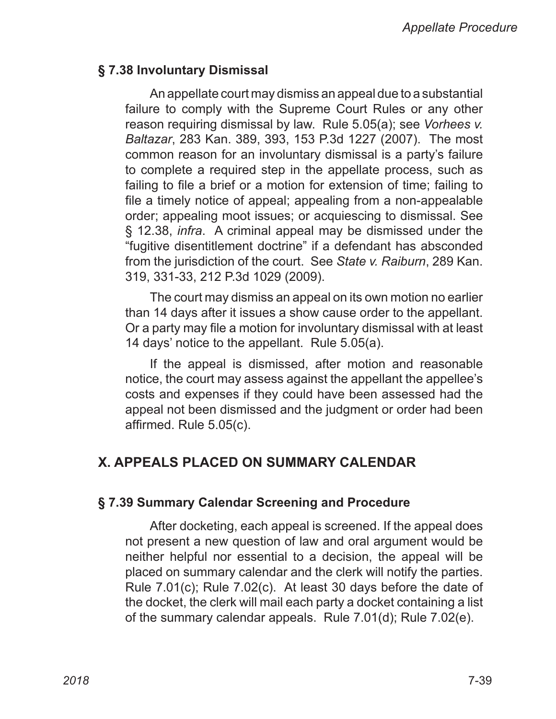#### **§ 7.38 Involuntary Dismissal**

An appellate court may dismiss an appeal due to a substantial failure to comply with the Supreme Court Rules or any other reason requiring dismissal by law. Rule 5.05(a); see *Vorhees v. Baltazar*, 283 Kan. 389, 393, 153 P.3d 1227 (2007). The most common reason for an involuntary dismissal is a party's failure to complete a required step in the appellate process, such as failing to file a brief or a motion for extension of time; failing to file a timely notice of appeal; appealing from a non-appealable order; appealing moot issues; or acquiescing to dismissal. See § 12.38, *infra*. A criminal appeal may be dismissed under the "fugitive disentitlement doctrine" if a defendant has absconded from the jurisdiction of the court. See *State v. Raiburn*, 289 Kan. 319, 331-33, 212 P.3d 1029 (2009).

The court may dismiss an appeal on its own motion no earlier than 14 days after it issues a show cause order to the appellant. Or a party may file a motion for involuntary dismissal with at least 14 days' notice to the appellant. Rule 5.05(a).

If the appeal is dismissed, after motion and reasonable notice, the court may assess against the appellant the appellee's costs and expenses if they could have been assessed had the appeal not been dismissed and the judgment or order had been affirmed. Rule 5.05(c).

# **X. APPEALS PLACED ON SUMMARY CALENDAR**

#### **§ 7.39 Summary Calendar Screening and Procedure**

After docketing, each appeal is screened. If the appeal does not present a new question of law and oral argument would be neither helpful nor essential to a decision, the appeal will be placed on summary calendar and the clerk will notify the parties. Rule 7.01(c); Rule 7.02(c). At least 30 days before the date of the docket, the clerk will mail each party a docket containing a list of the summary calendar appeals. Rule 7.01(d); Rule 7.02(e).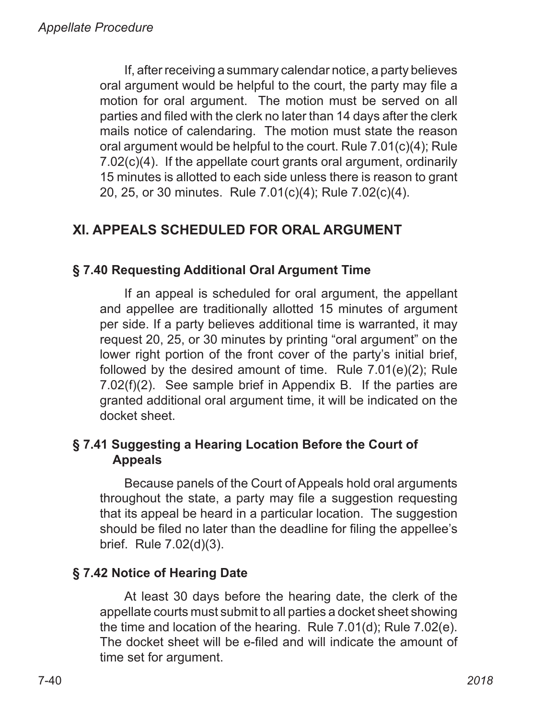If, after receiving a summary calendar notice, a party believes oral argument would be helpful to the court, the party may file a motion for oral argument. The motion must be served on all parties and filed with the clerk no later than 14 days after the clerk mails notice of calendaring. The motion must state the reason oral argument would be helpful to the court. Rule 7.01(c)(4); Rule 7.02(c)(4). If the appellate court grants oral argument, ordinarily 15 minutes is allotted to each side unless there is reason to grant 20, 25, or 30 minutes. Rule 7.01(c)(4); Rule 7.02(c)(4).

# **XI. APPEALS SCHEDULED FOR ORAL ARGUMENT**

# **§ 7.40 Requesting Additional Oral Argument Time**

If an appeal is scheduled for oral argument, the appellant and appellee are traditionally allotted 15 minutes of argument per side. If a party believes additional time is warranted, it may request 20, 25, or 30 minutes by printing "oral argument" on the lower right portion of the front cover of the party's initial brief, followed by the desired amount of time. Rule 7.01(e)(2); Rule 7.02(f)(2). See sample brief in Appendix B. If the parties are granted additional oral argument time, it will be indicated on the docket sheet.

# **§ 7.41 Suggesting a Hearing Location Before the Court of Appeals**

Because panels of the Court of Appeals hold oral arguments throughout the state, a party may file a suggestion requesting that its appeal be heard in a particular location. The suggestion should be filed no later than the deadline for filing the appellee's brief. Rule 7.02(d)(3).

# **§ 7.42 Notice of Hearing Date**

At least 30 days before the hearing date, the clerk of the appellate courts must submit to all parties a docket sheet showing the time and location of the hearing. Rule 7.01(d); Rule 7.02(e). The docket sheet will be e-filed and will indicate the amount of time set for argument.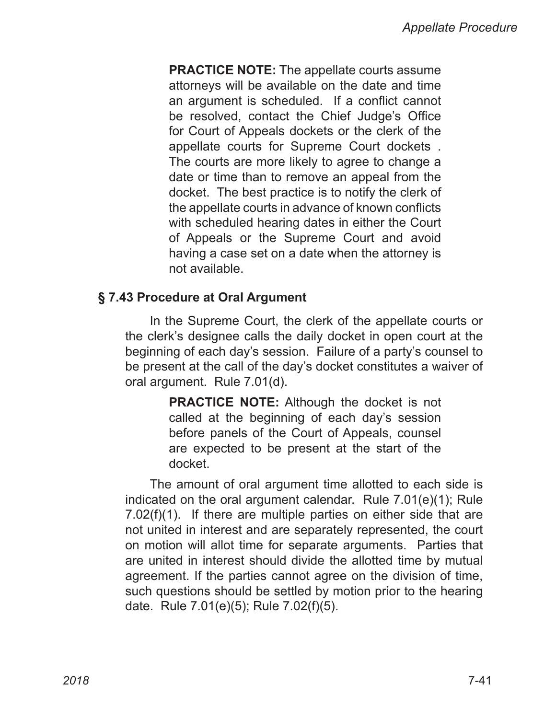**PRACTICE NOTE:** The appellate courts assume attorneys will be available on the date and time an argument is scheduled. If a conflict cannot be resolved, contact the Chief Judge's Office for Court of Appeals dockets or the clerk of the appellate courts for Supreme Court dockets . The courts are more likely to agree to change a date or time than to remove an appeal from the docket. The best practice is to notify the clerk of the appellate courts in advance of known conflicts with scheduled hearing dates in either the Court of Appeals or the Supreme Court and avoid having a case set on a date when the attorney is not available.

#### **§ 7.43 Procedure at Oral Argument**

In the Supreme Court, the clerk of the appellate courts or the clerk's designee calls the daily docket in open court at the beginning of each day's session. Failure of a party's counsel to be present at the call of the day's docket constitutes a waiver of oral argument. Rule 7.01(d).

> **PRACTICE NOTE:** Although the docket is not called at the beginning of each day's session before panels of the Court of Appeals, counsel are expected to be present at the start of the docket.

The amount of oral argument time allotted to each side is indicated on the oral argument calendar. Rule 7.01(e)(1); Rule 7.02(f)(1). If there are multiple parties on either side that are not united in interest and are separately represented, the court on motion will allot time for separate arguments. Parties that are united in interest should divide the allotted time by mutual agreement. If the parties cannot agree on the division of time, such questions should be settled by motion prior to the hearing date. Rule 7.01(e)(5); Rule 7.02(f)(5).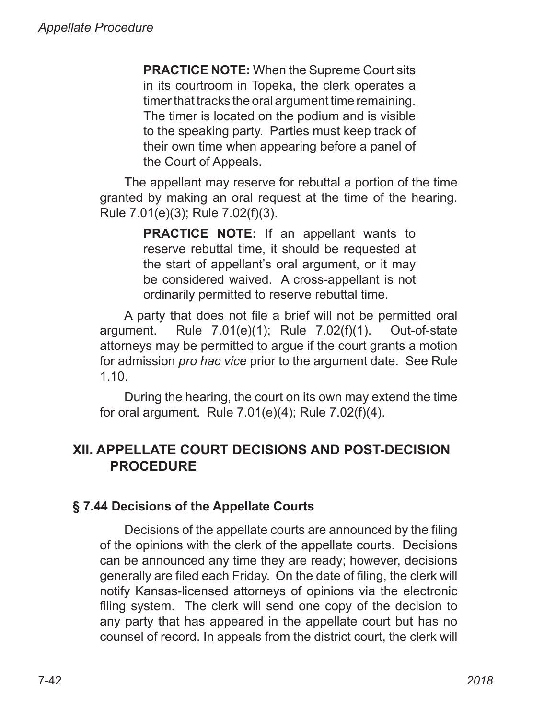**PRACTICE NOTE:** When the Supreme Court sits in its courtroom in Topeka, the clerk operates a timer that tracks the oral argument time remaining. The timer is located on the podium and is visible to the speaking party. Parties must keep track of their own time when appearing before a panel of the Court of Appeals.

The appellant may reserve for rebuttal a portion of the time granted by making an oral request at the time of the hearing. Rule 7.01(e)(3); Rule 7.02(f)(3).

> **PRACTICE NOTE:** If an appellant wants to reserve rebuttal time, it should be requested at the start of appellant's oral argument, or it may be considered waived. A cross-appellant is not ordinarily permitted to reserve rebuttal time.

A party that does not file a brief will not be permitted oral argument. Rule  $7.01(e)(1)$ ; Rule  $7.02(f)(1)$ . Out-of-state attorneys may be permitted to argue if the court grants a motion for admission *pro hac vice* prior to the argument date. See Rule 1.10.

During the hearing, the court on its own may extend the time for oral argument. Rule 7.01(e)(4); Rule 7.02(f)(4).

# **XII. APPELLATE COURT DECISIONS AND POST-DECISION PROCEDURE**

# **§ 7.44 Decisions of the Appellate Courts**

Decisions of the appellate courts are announced by the filing of the opinions with the clerk of the appellate courts. Decisions can be announced any time they are ready; however, decisions generally are filed each Friday. On the date of filing, the clerk will notify Kansas-licensed attorneys of opinions via the electronic filing system. The clerk will send one copy of the decision to any party that has appeared in the appellate court but has no counsel of record. In appeals from the district court, the clerk will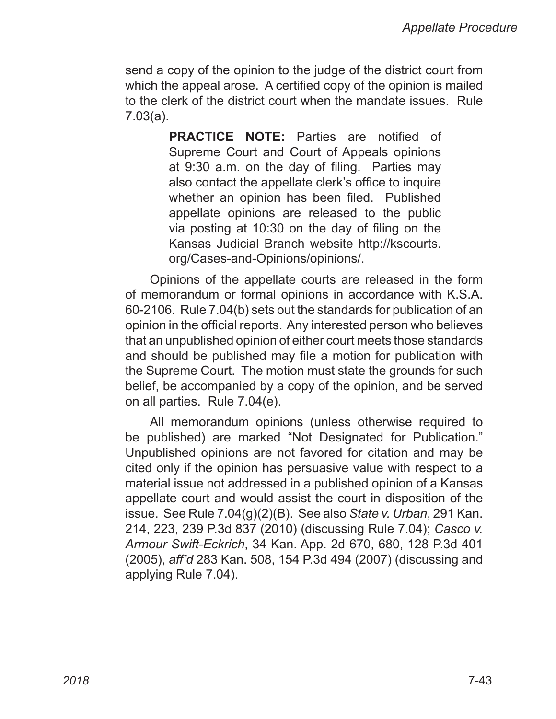send a copy of the opinion to the judge of the district court from which the appeal arose. A certified copy of the opinion is mailed to the clerk of the district court when the mandate issues. Rule 7.03(a).

> **PRACTICE NOTE:** Parties are notified of Supreme Court and Court of Appeals opinions at 9:30 a.m. on the day of filing. Parties may also contact the appellate clerk's office to inquire whether an opinion has been filed. Published appellate opinions are released to the public via posting at 10:30 on the day of filing on the Kansas Judicial Branch website http://kscourts. org/Cases‑and‑Opinions/opinions/.

Opinions of the appellate courts are released in the form of memorandum or formal opinions in accordance with K.S.A. 60‑2106. Rule 7.04(b) sets out the standards for publication of an opinion in the official reports. Any interested person who believes that an unpublished opinion of either court meets those standards and should be published may file a motion for publication with the Supreme Court. The motion must state the grounds for such belief, be accompanied by a copy of the opinion, and be served on all parties. Rule 7.04(e).

All memorandum opinions (unless otherwise required to be published) are marked "Not Designated for Publication." Unpublished opinions are not favored for citation and may be cited only if the opinion has persuasive value with respect to a material issue not addressed in a published opinion of a Kansas appellate court and would assist the court in disposition of the issue. See Rule 7.04(g)(2)(B). See also *State v. Urban*, 291 Kan. 214, 223, 239 P.3d 837 (2010) (discussing Rule 7.04); *Casco v. Armour Swift-Eckrich*, 34 Kan. App. 2d 670, 680, 128 P.3d 401 (2005), *aff'd* 283 Kan. 508, 154 P.3d 494 (2007) (discussing and applying Rule 7.04).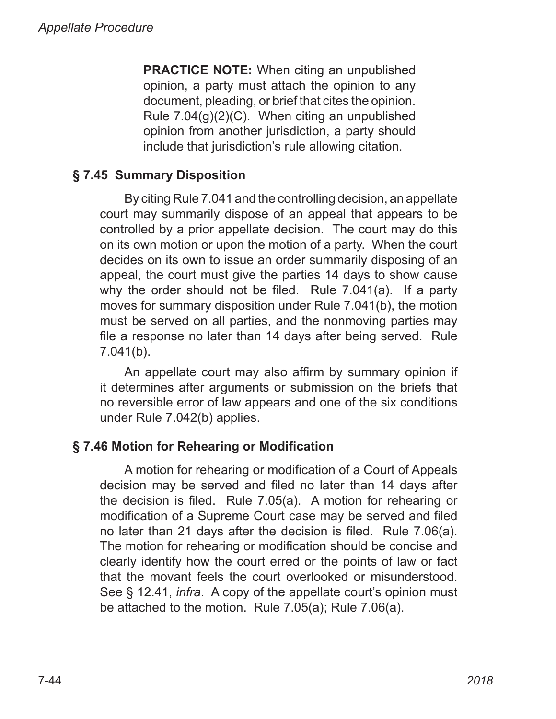**PRACTICE NOTE:** When citing an unpublished opinion, a party must attach the opinion to any document, pleading, or brief that cites the opinion. Rule 7.04(g)(2)(C). When citing an unpublished opinion from another jurisdiction, a party should include that jurisdiction's rule allowing citation.

# **§ 7.45 Summary Disposition**

By citing Rule 7.041 and the controlling decision, an appellate court may summarily dispose of an appeal that appears to be controlled by a prior appellate decision. The court may do this on its own motion or upon the motion of a party. When the court decides on its own to issue an order summarily disposing of an appeal, the court must give the parties 14 days to show cause why the order should not be filed. Rule 7.041(a). If a party moves for summary disposition under Rule 7.041(b), the motion must be served on all parties, and the nonmoving parties may file a response no later than 14 days after being served. Rule 7.041(b).

An appellate court may also affirm by summary opinion if it determines after arguments or submission on the briefs that no reversible error of law appears and one of the six conditions under Rule 7.042(b) applies.

# **§ 7.46 Motion for Rehearing or Modification**

A motion for rehearing or modification of a Court of Appeals decision may be served and filed no later than 14 days after the decision is filed. Rule 7.05(a). A motion for rehearing or modification of a Supreme Court case may be served and filed no later than 21 days after the decision is filed. Rule 7.06(a). The motion for rehearing or modification should be concise and clearly identify how the court erred or the points of law or fact that the movant feels the court overlooked or misunderstood. See § 12.41, *infra*. A copy of the appellate court's opinion must be attached to the motion. Rule 7.05(a); Rule 7.06(a).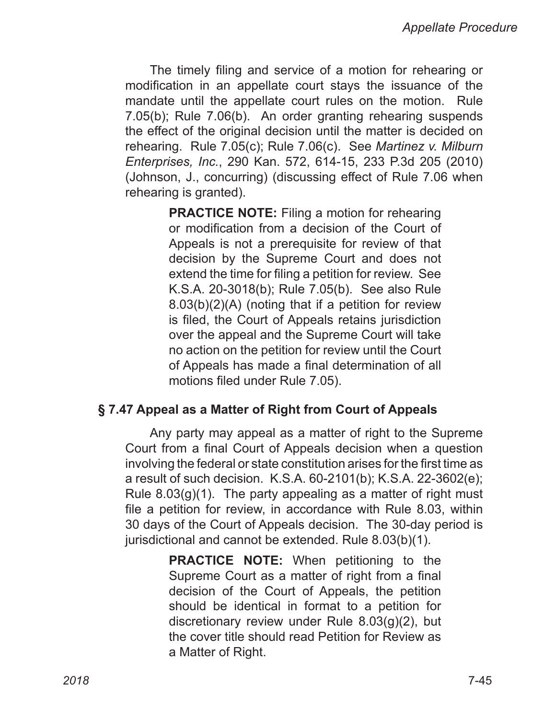The timely filing and service of a motion for rehearing or modification in an appellate court stays the issuance of the mandate until the appellate court rules on the motion. Rule 7.05(b); Rule 7.06(b). An order granting rehearing suspends the effect of the original decision until the matter is decided on rehearing. Rule 7.05(c); Rule 7.06(c). See *Martinez v. Milburn Enterprises, Inc.*, 290 Kan. 572, 614‑15, 233 P.3d 205 (2010) (Johnson, J., concurring) (discussing effect of Rule 7.06 when rehearing is granted).

> **PRACTICE NOTE:** Filing a motion for rehearing or modification from a decision of the Court of Appeals is not a prerequisite for review of that decision by the Supreme Court and does not extend the time for filing a petition for review. See K.S.A. 20‑3018(b); Rule 7.05(b). See also Rule 8.03(b)(2)(A) (noting that if a petition for review is filed, the Court of Appeals retains jurisdiction over the appeal and the Supreme Court will take no action on the petition for review until the Court of Appeals has made a final determination of all motions filed under Rule 7.05).

#### **§ 7.47 Appeal as a Matter of Right from Court of Appeals**

Any party may appeal as a matter of right to the Supreme Court from a final Court of Appeals decision when a question involving the federal or state constitution arises for the first time as a result of such decision. K.S.A. 60‑2101(b); K.S.A. 22‑3602(e); Rule 8.03(g)(1). The party appealing as a matter of right must file a petition for review, in accordance with Rule 8.03, within 30 days of the Court of Appeals decision. The 30‑day period is jurisdictional and cannot be extended. Rule 8.03(b)(1).

> **PRACTICE NOTE:** When petitioning to the Supreme Court as a matter of right from a final decision of the Court of Appeals, the petition should be identical in format to a petition for discretionary review under Rule 8.03(g)(2), but the cover title should read Petition for Review as a Matter of Right.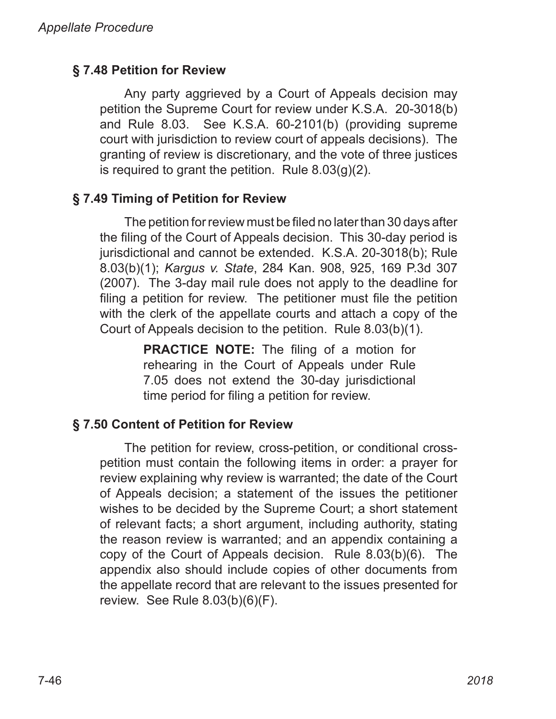# **§ 7.48 Petition for Review**

Any party aggrieved by a Court of Appeals decision may petition the Supreme Court for review under K.S.A. 20‑3018(b) and Rule 8.03. See K.S.A. 60‑2101(b) (providing supreme court with jurisdiction to review court of appeals decisions). The granting of review is discretionary, and the vote of three justices is required to grant the petition. Rule  $8.03(g)(2)$ .

## **§ 7.49 Timing of Petition for Review**

The petition for review must be filed no later than 30 days after the filing of the Court of Appeals decision. This 30‑day period is jurisdictional and cannot be extended. K.S.A. 20‑3018(b); Rule 8.03(b)(1); *Kargus v. State*, 284 Kan. 908, 925, 169 P.3d 307 (2007). The 3‑day mail rule does not apply to the deadline for filing a petition for review. The petitioner must file the petition with the clerk of the appellate courts and attach a copy of the Court of Appeals decision to the petition. Rule 8.03(b)(1).

> **PRACTICE NOTE:** The filing of a motion for rehearing in the Court of Appeals under Rule 7.05 does not extend the 30‑day jurisdictional time period for filing a petition for review.

# **§ 7.50 Content of Petition for Review**

The petition for review, cross-petition, or conditional crosspetition must contain the following items in order: a prayer for review explaining why review is warranted; the date of the Court of Appeals decision; a statement of the issues the petitioner wishes to be decided by the Supreme Court; a short statement of relevant facts; a short argument, including authority, stating the reason review is warranted; and an appendix containing a copy of the Court of Appeals decision. Rule 8.03(b)(6). The appendix also should include copies of other documents from the appellate record that are relevant to the issues presented for review. See Rule 8.03(b)(6)(F).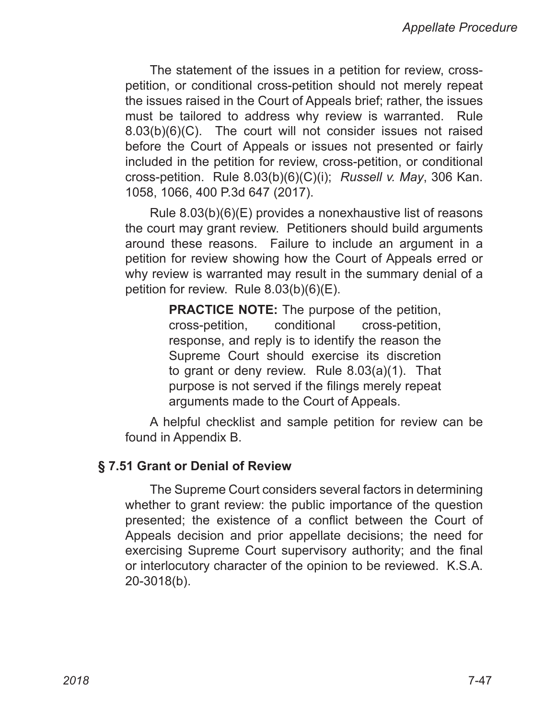The statement of the issues in a petition for review, crosspetition, or conditional cross-petition should not merely repeat the issues raised in the Court of Appeals brief; rather, the issues must be tailored to address why review is warranted. Rule 8.03(b)(6)(C). The court will not consider issues not raised before the Court of Appeals or issues not presented or fairly included in the petition for review, cross-petition, or conditional cross-petition. Rule 8.03(b)(6)(C)(i); *Russell v. May*, 306 Kan. 1058, 1066, 400 P.3d 647 (2017).

Rule 8.03(b)(6)(E) provides a nonexhaustive list of reasons the court may grant review. Petitioners should build arguments around these reasons. Failure to include an argument in a petition for review showing how the Court of Appeals erred or why review is warranted may result in the summary denial of a petition for review. Rule 8.03(b)(6)(E).

> **PRACTICE NOTE:** The purpose of the petition, cross‑petition, conditional cross-petition, response, and reply is to identify the reason the Supreme Court should exercise its discretion to grant or deny review. Rule 8.03(a)(1). That purpose is not served if the filings merely repeat arguments made to the Court of Appeals.

A helpful checklist and sample petition for review can be found in Appendix B.

#### **§ 7.51 Grant or Denial of Review**

The Supreme Court considers several factors in determining whether to grant review: the public importance of the question presented; the existence of a conflict between the Court of Appeals decision and prior appellate decisions; the need for exercising Supreme Court supervisory authority; and the final or interlocutory character of the opinion to be reviewed. K.S.A. 20‑3018(b).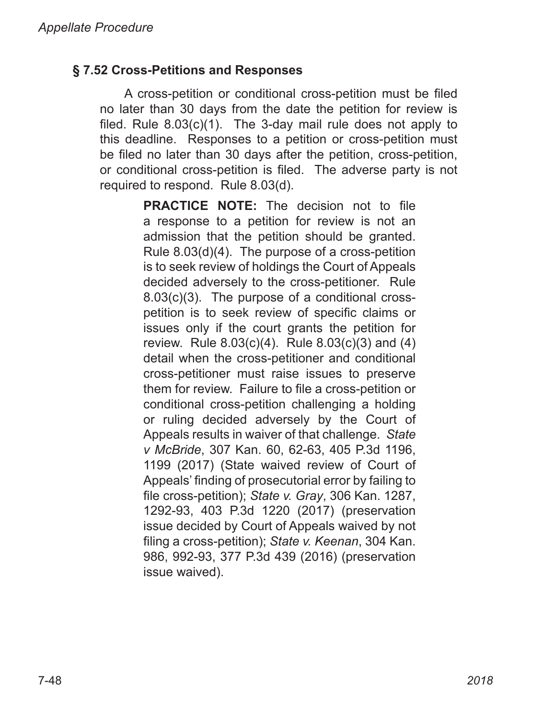## **§ 7.52 Cross-Petitions and Responses**

A cross‑petition or conditional cross-petition must be filed no later than 30 days from the date the petition for review is filed. Rule  $8.03(c)(1)$ . The 3-day mail rule does not apply to this deadline. Responses to a petition or cross‑petition must be filed no later than 30 days after the petition, cross-petition, or conditional cross-petition is filed. The adverse party is not required to respond. Rule 8.03(d).

> **PRACTICE NOTE:** The decision not to file a response to a petition for review is not an admission that the petition should be granted. Rule 8.03(d)(4). The purpose of a cross-petition is to seek review of holdings the Court of Appeals decided adversely to the cross-petitioner. Rule 8.03(c)(3). The purpose of a conditional crosspetition is to seek review of specific claims or issues only if the court grants the petition for review. Rule 8.03(c)(4). Rule 8.03(c)(3) and (4) detail when the cross-petitioner and conditional cross-petitioner must raise issues to preserve them for review. Failure to file a cross-petition or conditional cross-petition challenging a holding or ruling decided adversely by the Court of Appeals results in waiver of that challenge. *State v McBride*, 307 Kan. 60, 62-63, 405 P.3d 1196, 1199 (2017) (State waived review of Court of Appeals' finding of prosecutorial error by failing to file cross-petition); *State v. Gray*, 306 Kan. 1287, 1292-93, 403 P.3d 1220 (2017) (preservation issue decided by Court of Appeals waived by not filing a cross-petition); *State v. Keenan*, 304 Kan. 986, 992-93, 377 P.3d 439 (2016) (preservation issue waived).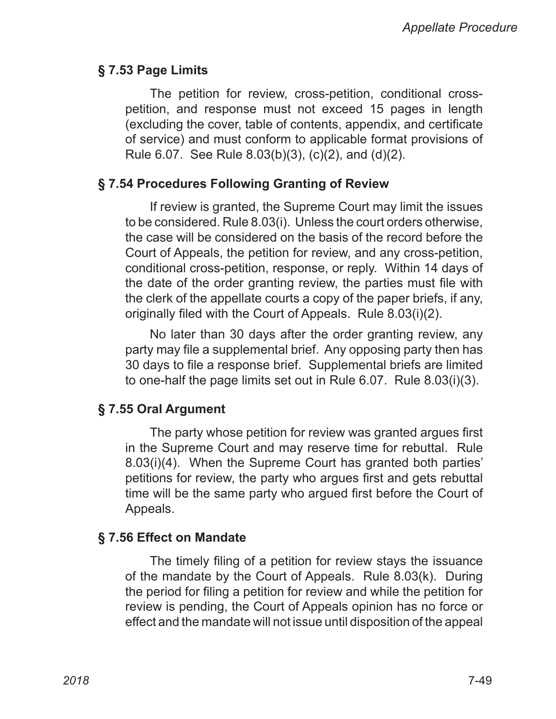#### **§ 7.53 Page Limits**

The petition for review, cross-petition, conditional crosspetition, and response must not exceed 15 pages in length (excluding the cover, table of contents, appendix, and certificate of service) and must conform to applicable format provisions of Rule 6.07. See Rule 8.03(b)(3), (c)(2), and (d)(2).

#### **§ 7.54 Procedures Following Granting of Review**

If review is granted, the Supreme Court may limit the issues to be considered. Rule 8.03(i). Unless the court orders otherwise, the case will be considered on the basis of the record before the Court of Appeals, the petition for review, and any cross-petition, conditional cross-petition, response, or reply. Within 14 days of the date of the order granting review, the parties must file with the clerk of the appellate courts a copy of the paper briefs, if any, originally filed with the Court of Appeals. Rule 8.03(i)(2).

No later than 30 days after the order granting review, any party may file a supplemental brief. Any opposing party then has 30 days to file a response brief. Supplemental briefs are limited to one-half the page limits set out in Rule 6.07. Rule 8.03(i)(3).

#### **§ 7.55 Oral Argument**

The party whose petition for review was granted argues first in the Supreme Court and may reserve time for rebuttal. Rule 8.03(i)(4). When the Supreme Court has granted both parties' petitions for review, the party who argues first and gets rebuttal time will be the same party who argued first before the Court of Appeals.

#### **§ 7.56 Effect on Mandate**

The timely filing of a petition for review stays the issuance of the mandate by the Court of Appeals. Rule 8.03(k). During the period for filing a petition for review and while the petition for review is pending, the Court of Appeals opinion has no force or effect and the mandate will not issue until disposition of the appeal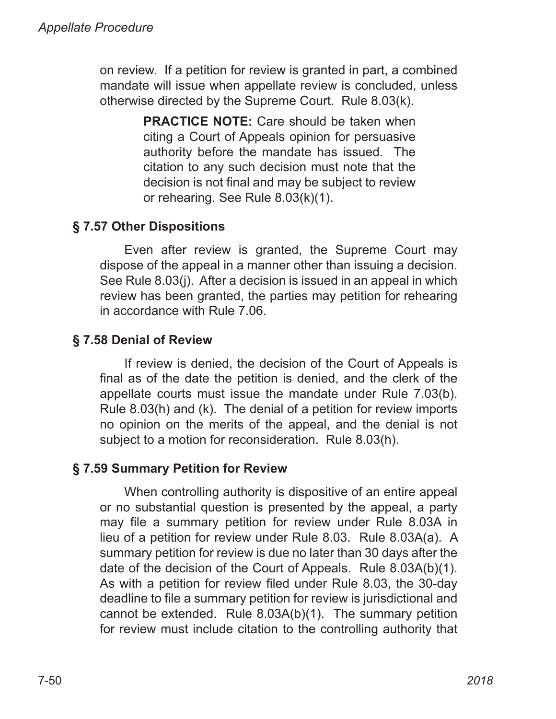on review. If a petition for review is granted in part, a combined mandate will issue when appellate review is concluded, unless otherwise directed by the Supreme Court. Rule 8.03(k).

> **PRACTICE NOTE:** Care should be taken when citing a Court of Appeals opinion for persuasive authority before the mandate has issued. The citation to any such decision must note that the decision is not final and may be subject to review or rehearing. See Rule 8.03(k)(1).

# **§ 7.57 Other Dispositions**

Even after review is granted, the Supreme Court may dispose of the appeal in a manner other than issuing a decision. See Rule 8.03(j). After a decision is issued in an appeal in which review has been granted, the parties may petition for rehearing in accordance with Rule 7.06.

# **§ 7.58 Denial of Review**

If review is denied, the decision of the Court of Appeals is final as of the date the petition is denied, and the clerk of the appellate courts must issue the mandate under Rule 7.03(b). Rule 8.03(h) and (k). The denial of a petition for review imports no opinion on the merits of the appeal, and the denial is not subject to a motion for reconsideration. Rule 8.03(h).

# **§ 7.59 Summary Petition for Review**

When controlling authority is dispositive of an entire appeal or no substantial question is presented by the appeal, a party may file a summary petition for review under Rule 8.03A in lieu of a petition for review under Rule 8.03. Rule 8.03A(a). A summary petition for review is due no later than 30 days after the date of the decision of the Court of Appeals. Rule 8.03A(b)(1). As with a petition for review filed under Rule 8.03, the 30-day deadline to file a summary petition for review is jurisdictional and cannot be extended. Rule 8.03A(b)(1). The summary petition for review must include citation to the controlling authority that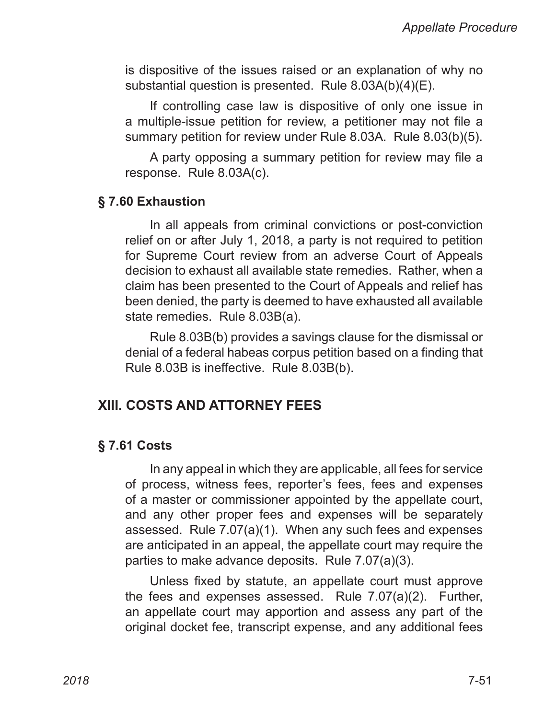is dispositive of the issues raised or an explanation of why no substantial question is presented. Rule 8.03A(b)(4)(E).

If controlling case law is dispositive of only one issue in a multiple-issue petition for review, a petitioner may not file a summary petition for review under Rule 8.03A. Rule 8.03(b)(5).

A party opposing a summary petition for review may file a response. Rule 8.03A(c).

#### **§ 7.60 Exhaustion**

In all appeals from criminal convictions or post-conviction relief on or after July 1, 2018, a party is not required to petition for Supreme Court review from an adverse Court of Appeals decision to exhaust all available state remedies. Rather, when a claim has been presented to the Court of Appeals and relief has been denied, the party is deemed to have exhausted all available state remedies. Rule 8.03B(a).

Rule 8.03B(b) provides a savings clause for the dismissal or denial of a federal habeas corpus petition based on a finding that Rule 8.03B is ineffective. Rule 8.03B(b).

# **XIII. COSTS AND ATTORNEY FEES**

#### **§ 7.61 Costs**

In any appeal in which they are applicable, all fees for service of process, witness fees, reporter's fees, fees and expenses of a master or commissioner appointed by the appellate court, and any other proper fees and expenses will be separately assessed. Rule 7.07(a)(1). When any such fees and expenses are anticipated in an appeal, the appellate court may require the parties to make advance deposits. Rule 7.07(a)(3).

Unless fixed by statute, an appellate court must approve the fees and expenses assessed. Rule 7.07(a)(2). Further, an appellate court may apportion and assess any part of the original docket fee, transcript expense, and any additional fees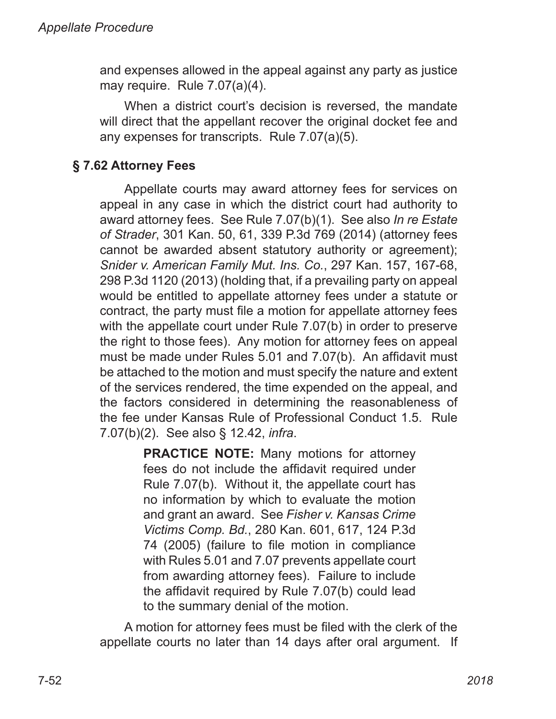and expenses allowed in the appeal against any party as justice may require. Rule 7.07(a)(4).

When a district court's decision is reversed, the mandate will direct that the appellant recover the original docket fee and any expenses for transcripts. Rule 7.07(a)(5).

# **§ 7.62 Attorney Fees**

Appellate courts may award attorney fees for services on appeal in any case in which the district court had authority to award attorney fees. See Rule 7.07(b)(1). See also *In re Estate of Strader*, 301 Kan. 50, 61, 339 P.3d 769 (2014) (attorney fees cannot be awarded absent statutory authority or agreement); *Snider v. American Family Mut. Ins. Co.*, 297 Kan. 157, 167‑68, 298 P.3d 1120 (2013) (holding that, if a prevailing party on appeal would be entitled to appellate attorney fees under a statute or contract, the party must file a motion for appellate attorney fees with the appellate court under Rule 7.07(b) in order to preserve the right to those fees). Any motion for attorney fees on appeal must be made under Rules 5.01 and 7.07(b). An affidavit must be attached to the motion and must specify the nature and extent of the services rendered, the time expended on the appeal, and the factors considered in determining the reasonableness of the fee under Kansas Rule of Professional Conduct 1.5. Rule 7.07(b)(2). See also § 12.42, *infra*.

> **PRACTICE NOTE:** Many motions for attorney fees do not include the affidavit required under Rule 7.07(b). Without it, the appellate court has no information by which to evaluate the motion and grant an award. See *Fisher v. Kansas Crime Victims Comp. Bd.*, 280 Kan. 601, 617, 124 P.3d 74 (2005) (failure to file motion in compliance with Rules 5.01 and 7.07 prevents appellate court from awarding attorney fees). Failure to include the affidavit required by Rule 7.07(b) could lead to the summary denial of the motion.

A motion for attorney fees must be filed with the clerk of the appellate courts no later than 14 days after oral argument. If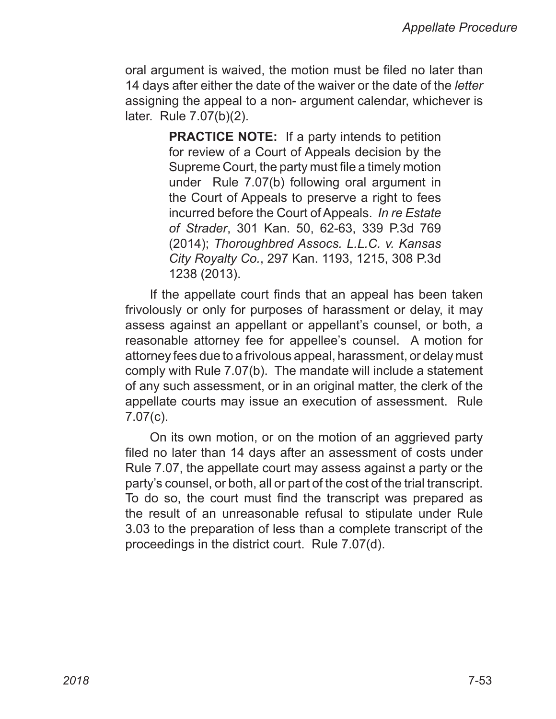oral argument is waived, the motion must be filed no later than 14 days after either the date of the waiver or the date of the *letter* assigning the appeal to a non‑ argument calendar, whichever is later. Rule 7.07(b)(2).

> **PRACTICE NOTE:** If a party intends to petition for review of a Court of Appeals decision by the Supreme Court, the party must file a timely motion under Rule 7.07(b) following oral argument in the Court of Appeals to preserve a right to fees incurred before the Court of Appeals. *In re Estate of Strader*, 301 Kan. 50, 62-63, 339 P.3d 769 (2014); *Thoroughbred Assocs. L.L.C. v. Kansas City Royalty Co.*, 297 Kan. 1193, 1215, 308 P.3d 1238 (2013).

If the appellate court finds that an appeal has been taken frivolously or only for purposes of harassment or delay, it may assess against an appellant or appellant's counsel, or both, a reasonable attorney fee for appellee's counsel. A motion for attorney fees due to a frivolous appeal, harassment, or delay must comply with Rule 7.07(b). The mandate will include a statement of any such assessment, or in an original matter, the clerk of the appellate courts may issue an execution of assessment. Rule 7.07(c).

On its own motion, or on the motion of an aggrieved party filed no later than 14 days after an assessment of costs under Rule 7.07, the appellate court may assess against a party or the party's counsel, or both, all or part of the cost of the trial transcript. To do so, the court must find the transcript was prepared as the result of an unreasonable refusal to stipulate under Rule 3.03 to the preparation of less than a complete transcript of the proceedings in the district court. Rule 7.07(d).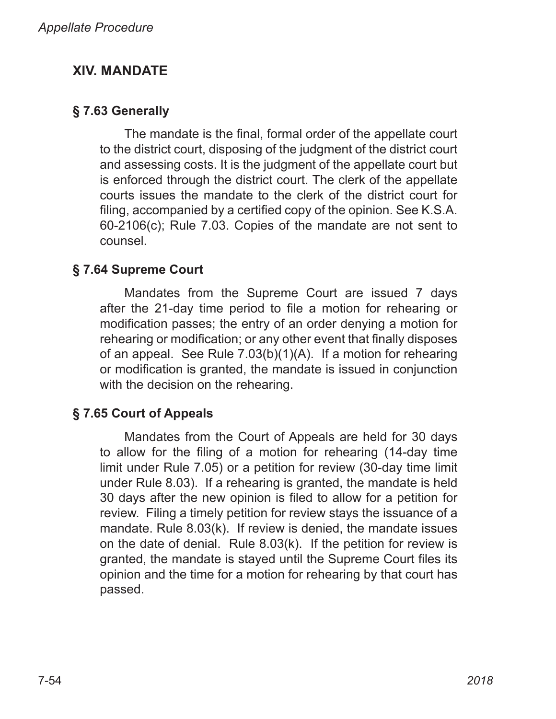# **XIV. MANDATE**

# **§ 7.63 Generally**

The mandate is the final, formal order of the appellate court to the district court, disposing of the judgment of the district court and assessing costs. It is the judgment of the appellate court but is enforced through the district court. The clerk of the appellate courts issues the mandate to the clerk of the district court for filing, accompanied by a certified copy of the opinion. See K.S.A. 60‑2106(c); Rule 7.03. Copies of the mandate are not sent to counsel.

# **§ 7.64 Supreme Court**

Mandates from the Supreme Court are issued 7 days after the 21‑day time period to file a motion for rehearing or modification passes; the entry of an order denying a motion for rehearing or modification; or any other event that finally disposes of an appeal. See Rule 7.03(b)(1)(A). If a motion for rehearing or modification is granted, the mandate is issued in conjunction with the decision on the rehearing.

# **§ 7.65 Court of Appeals**

Mandates from the Court of Appeals are held for 30 days to allow for the filing of a motion for rehearing (14‑day time limit under Rule 7.05) or a petition for review (30‑day time limit under Rule 8.03). If a rehearing is granted, the mandate is held 30 days after the new opinion is filed to allow for a petition for review. Filing a timely petition for review stays the issuance of a mandate. Rule 8.03(k). If review is denied, the mandate issues on the date of denial. Rule 8.03(k). If the petition for review is granted, the mandate is stayed until the Supreme Court files its opinion and the time for a motion for rehearing by that court has passed.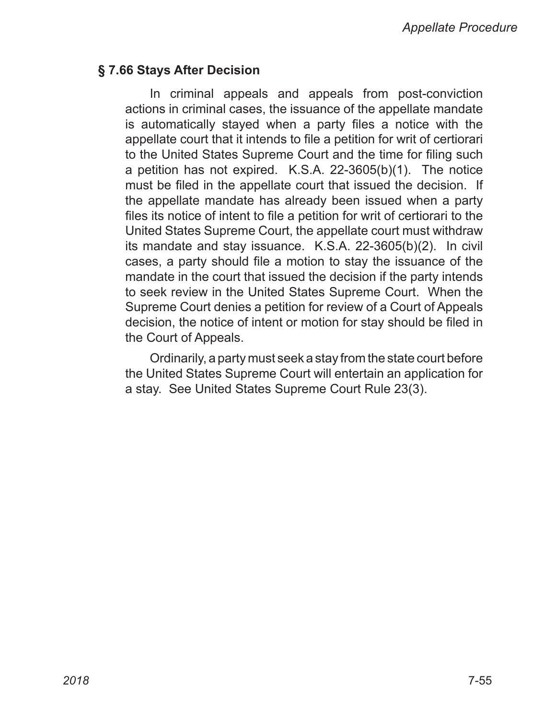#### **§ 7.66 Stays After Decision**

In criminal appeals and appeals from post-conviction actions in criminal cases, the issuance of the appellate mandate is automatically stayed when a party files a notice with the appellate court that it intends to file a petition for writ of certiorari to the United States Supreme Court and the time for filing such a petition has not expired. K.S.A. 22-3605(b)(1). The notice must be filed in the appellate court that issued the decision. If the appellate mandate has already been issued when a party files its notice of intent to file a petition for writ of certiorari to the United States Supreme Court, the appellate court must withdraw its mandate and stay issuance. K.S.A. 22-3605(b)(2). In civil cases, a party should file a motion to stay the issuance of the mandate in the court that issued the decision if the party intends to seek review in the United States Supreme Court. When the Supreme Court denies a petition for review of a Court of Appeals decision, the notice of intent or motion for stay should be filed in the Court of Appeals.

Ordinarily, a party must seek a stay from the state court before the United States Supreme Court will entertain an application for a stay. See United States Supreme Court Rule 23(3).